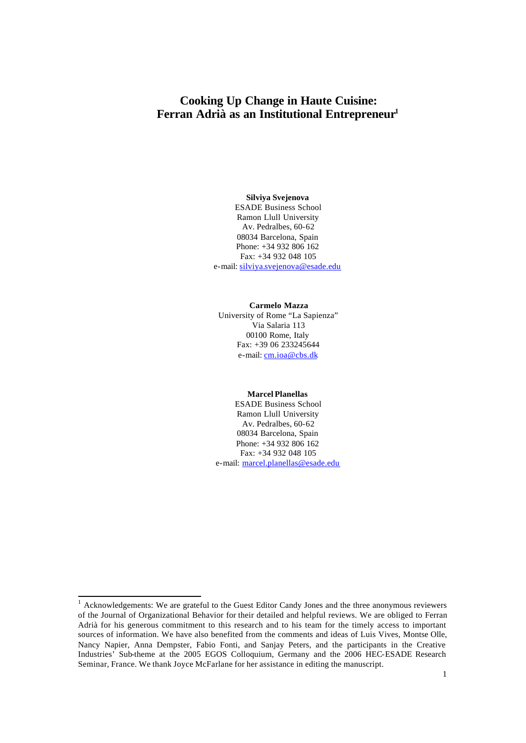# **Cooking Up Change in Haute Cuisine: Ferran Adrià as an Institutional Entrepreneur<sup>1</sup>**

#### **Silviya Svejenova**

ESADE Business School Ramon Llull University Av. Pedralbes, 60-62 08034 Barcelona, Spain Phone: +34 932 806 162 Fax: +34 932 048 105 e-mail: silviya.svejenova@esade.edu

#### **Carmelo Mazza**

University of Rome "La Sapienza" Via Salaria 113 00100 Rome, Italy Fax: +39 06 233245644 e-mail: cm.ioa@cbs.dk

#### **Marcel Planellas**

ESADE Business School Ramon Llull University Av. Pedralbes, 60-62 08034 Barcelona, Spain Phone: +34 932 806 162 Fax: +34 932 048 105 e-mail: marcel.planellas@esade.edu

 1 Acknowledgements: We are grateful to the Guest Editor Candy Jones and the three anonymous reviewers of the Journal of Organizational Behavior for their detailed and helpful reviews. We are obliged to Ferran Adrià for his generous commitment to this research and to his team for the timely access to important sources of information. We have also benefited from the comments and ideas of Luis Vives, Montse Olle, Nancy Napier, Anna Dempster, Fabio Fonti, and Sanjay Peters, and the participants in the Creative Industries' Sub-theme at the 2005 EGOS Colloquium, Germany and the 2006 HEC-ESADE Research Seminar, France. We thank Joyce McFarlane for her assistance in editing the manuscript.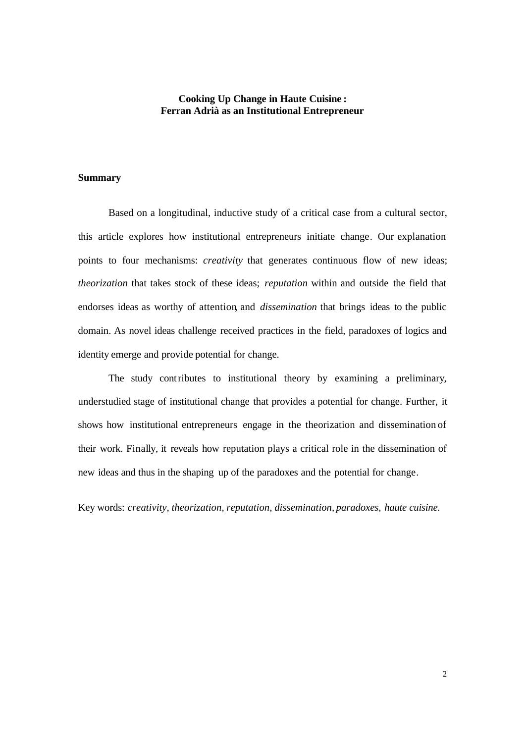## **Cooking Up Change in Haute Cuisine : Ferran Adrià as an Institutional Entrepreneur**

### **Summary**

Based on a longitudinal, inductive study of a critical case from a cultural sector, this article explores how institutional entrepreneurs initiate change. Our explanation points to four mechanisms: *creativity* that generates continuous flow of new ideas; *theorization* that takes stock of these ideas; *reputation* within and outside the field that endorses ideas as worthy of attention, and *dissemination* that brings ideas to the public domain. As novel ideas challenge received practices in the field, paradoxes of logics and identity emerge and provide potential for change.

The study contributes to institutional theory by examining a preliminary, understudied stage of institutional change that provides a potential for change. Further, it shows how institutional entrepreneurs engage in the theorization and dissemination of their work. Finally, it reveals how reputation plays a critical role in the dissemination of new ideas and thus in the shaping up of the paradoxes and the potential for change.

Key words: *creativity, theorization, reputation, dissemination, paradoxes, haute cuisine.*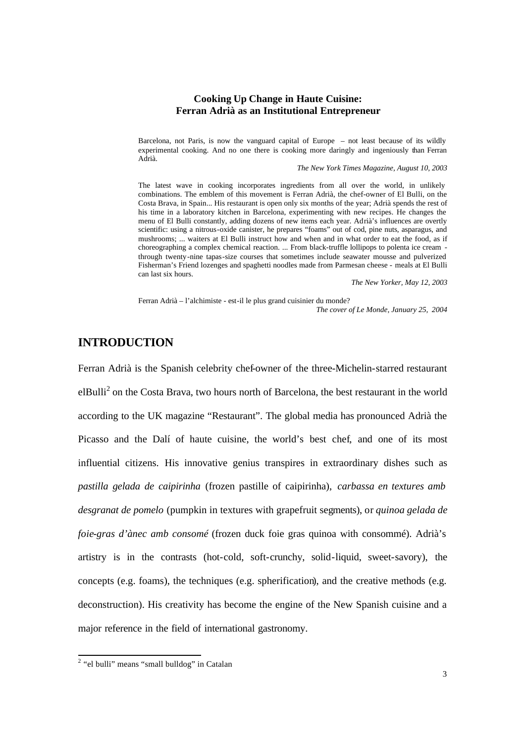### **Cooking Up Change in Haute Cuisine: Ferran Adrià as an Institutional Entrepreneur**

Barcelona, not Paris, is now the vanguard capital of Europe – not least because of its wildly experimental cooking. And no one there is cooking more daringly and ingeniously than Ferran Adrià.

*The New York Times Magazine, August 10, 2003*

The latest wave in cooking incorporates ingredients from all over the world, in unlikely combinations. The emblem of this movement is Ferran Adrià, the chef-owner of El Bulli, on the Costa Brava, in Spain... His restaurant is open only six months of the year; Adrià spends the rest of his time in a laboratory kitchen in Barcelona, experimenting with new recipes. He changes the menu of El Bulli constantly, adding dozens of new items each year. Adrià's influences are overtly scientific: using a nitrous-oxide canister, he prepares "foams" out of cod, pine nuts, asparagus, and mushrooms; ... waiters at El Bulli instruct how and when and in what order to eat the food, as if choreographing a complex chemical reaction. ... From black-truffle lollipops to polenta ice cream through twenty-nine tapas-size courses that sometimes include seawater mousse and pulverized Fisherman's Friend lozenges and spaghetti noodles made from Parmesan cheese - meals at El Bulli can last six hours.

*The New Yorker, May 12, 2003*

Ferran Adrià – l'alchimiste - est-il le plus grand cuisinier du monde? *The cover of Le Monde, January 25, 2004*

# **INTRODUCTION**

Ferran Adrià is the Spanish celebrity chef-owner of the three-Michelin-starred restaurant elBulli<sup>2</sup> on the Costa Brava, two hours north of Barcelona, the best restaurant in the world according to the UK magazine "Restaurant". The global media has pronounced Adrià the Picasso and the Dalí of haute cuisine, the world's best chef, and one of its most influential citizens. His innovative genius transpires in extraordinary dishes such as *pastilla gelada de caipirinha* (frozen pastille of caipirinha), *carbassa en textures amb desgranat de pomelo* (pumpkin in textures with grapefruit segments), or *quinoa gelada de foie-gras d'ànec amb consomé* (frozen duck foie gras quinoa with consommé). Adrià's artistry is in the contrasts (hot-cold, soft-crunchy, solid-liquid, sweet-savory), the concepts (e.g. foams), the techniques (e.g. spherification), and the creative methods (e.g. deconstruction). His creativity has become the engine of the New Spanish cuisine and a major reference in the field of international gastronomy.

<sup>&</sup>lt;sup>2</sup> "el bulli" means "small bulldog" in Catalan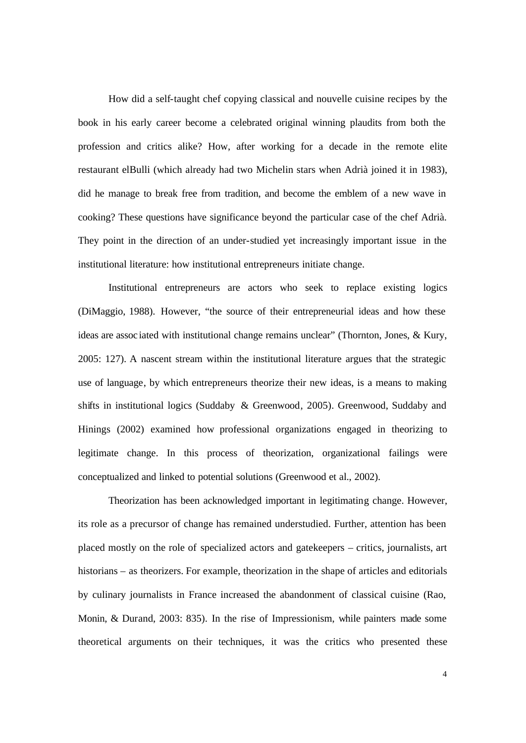How did a self-taught chef copying classical and nouvelle cuisine recipes by the book in his early career become a celebrated original winning plaudits from both the profession and critics alike? How, after working for a decade in the remote elite restaurant elBulli (which already had two Michelin stars when Adrià joined it in 1983), did he manage to break free from tradition, and become the emblem of a new wave in cooking? These questions have significance beyond the particular case of the chef Adrià. They point in the direction of an under-studied yet increasingly important issue in the institutional literature: how institutional entrepreneurs initiate change.

Institutional entrepreneurs are actors who seek to replace existing logics (DiMaggio, 1988). However, "the source of their entrepreneurial ideas and how these ideas are assoc iated with institutional change remains unclear" (Thornton, Jones, & Kury, 2005: 127). A nascent stream within the institutional literature argues that the strategic use of language, by which entrepreneurs theorize their new ideas, is a means to making shifts in institutional logics (Suddaby & Greenwood, 2005). Greenwood, Suddaby and Hinings (2002) examined how professional organizations engaged in theorizing to legitimate change. In this process of theorization, organizational failings were conceptualized and linked to potential solutions (Greenwood et al., 2002).

Theorization has been acknowledged important in legitimating change. However, its role as a precursor of change has remained understudied. Further, attention has been placed mostly on the role of specialized actors and gatekeepers – critics, journalists, art historians – as theorizers. For example, theorization in the shape of articles and editorials by culinary journalists in France increased the abandonment of classical cuisine (Rao, Monin, & Durand, 2003: 835). In the rise of Impressionism, while painters made some theoretical arguments on their techniques, it was the critics who presented these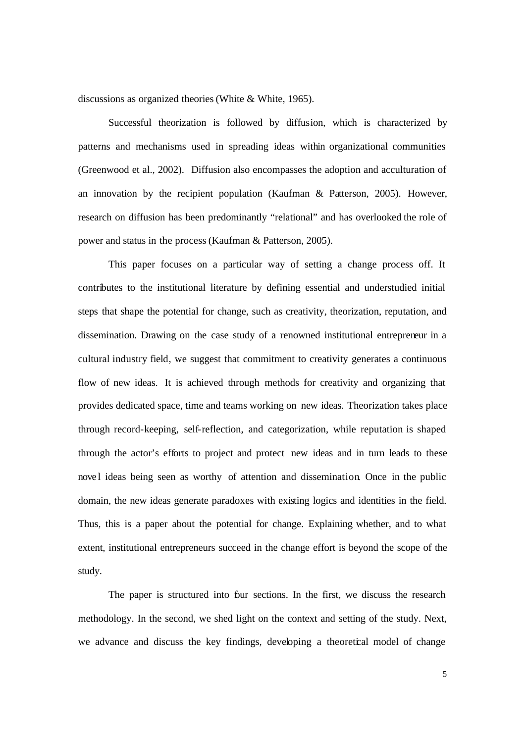discussions as organized theories (White & White, 1965).

Successful theorization is followed by diffusion, which is characterized by patterns and mechanisms used in spreading ideas within organizational communities (Greenwood et al., 2002). Diffusion also encompasses the adoption and acculturation of an innovation by the recipient population (Kaufman & Patterson, 2005). However, research on diffusion has been predominantly "relational" and has overlooked the role of power and status in the process (Kaufman & Patterson, 2005).

This paper focuses on a particular way of setting a change process off. It contributes to the institutional literature by defining essential and understudied initial steps that shape the potential for change, such as creativity, theorization, reputation, and dissemination. Drawing on the case study of a renowned institutional entrepreneur in a cultural industry field, we suggest that commitment to creativity generates a continuous flow of new ideas. It is achieved through methods for creativity and organizing that provides dedicated space, time and teams working on new ideas. Theorization takes place through record-keeping, self-reflection, and categorization, while reputation is shaped through the actor's efforts to project and protect new ideas and in turn leads to these nove l ideas being seen as worthy of attention and dissemination. Once in the public domain, the new ideas generate paradoxes with existing logics and identities in the field. Thus, this is a paper about the potential for change. Explaining whether, and to what extent, institutional entrepreneurs succeed in the change effort is beyond the scope of the study.

The paper is structured into four sections. In the first, we discuss the research methodology. In the second, we shed light on the context and setting of the study. Next, we advance and discuss the key findings, developing a theoretical model of change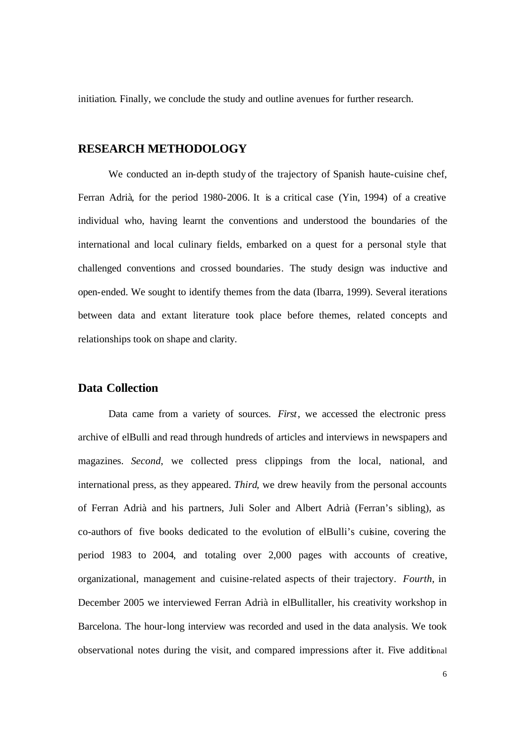initiation. Finally, we conclude the study and outline avenues for further research.

## **RESEARCH METHODOLOGY**

We conducted an in-depth study of the trajectory of Spanish haute-cuisine chef, Ferran Adrià, for the period 1980-2006. It is a critical case (Yin, 1994) of a creative individual who, having learnt the conventions and understood the boundaries of the international and local culinary fields, embarked on a quest for a personal style that challenged conventions and crossed boundaries. The study design was inductive and open-ended. We sought to identify themes from the data (Ibarra, 1999). Several iterations between data and extant literature took place before themes, related concepts and relationships took on shape and clarity.

## **Data Collection**

Data came from a variety of sources. *First*, we accessed the electronic press archive of elBulli and read through hundreds of articles and interviews in newspapers and magazines. *Second*, we collected press clippings from the local, national, and international press, as they appeared. *Third*, we drew heavily from the personal accounts of Ferran Adrià and his partners, Juli Soler and Albert Adrià (Ferran's sibling), as co-authors of five books dedicated to the evolution of elBulli's cuisine, covering the period 1983 to 2004, and totaling over 2,000 pages with accounts of creative, organizational, management and cuisine-related aspects of their trajectory. *Fourth*, in December 2005 we interviewed Ferran Adrià in elBullitaller, his creativity workshop in Barcelona. The hour-long interview was recorded and used in the data analysis. We took observational notes during the visit, and compared impressions after it. Five additional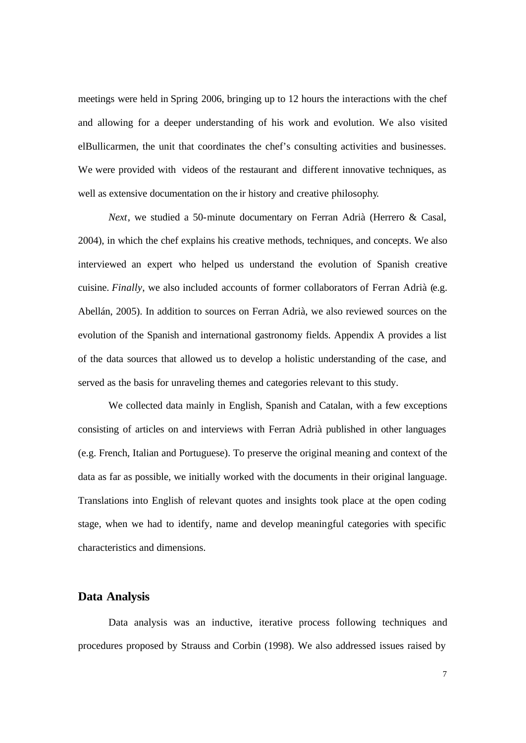meetings were held in Spring 2006, bringing up to 12 hours the interactions with the chef and allowing for a deeper understanding of his work and evolution. We also visited elBullicarmen, the unit that coordinates the chef's consulting activities and businesses. We were provided with videos of the restaurant and different innovative techniques, as well as extensive documentation on the ir history and creative philosophy.

*Next*, we studied a 50-minute documentary on Ferran Adrià (Herrero & Casal, 2004), in which the chef explains his creative methods, techniques, and concepts. We also interviewed an expert who helped us understand the evolution of Spanish creative cuisine. *Finally*, we also included accounts of former collaborators of Ferran Adrià (e.g. Abellán, 2005). In addition to sources on Ferran Adrià, we also reviewed sources on the evolution of the Spanish and international gastronomy fields. Appendix A provides a list of the data sources that allowed us to develop a holistic understanding of the case, and served as the basis for unraveling themes and categories relevant to this study.

We collected data mainly in English, Spanish and Catalan, with a few exceptions consisting of articles on and interviews with Ferran Adrià published in other languages (e.g. French, Italian and Portuguese). To preserve the original meaning and context of the data as far as possible, we initially worked with the documents in their original language. Translations into English of relevant quotes and insights took place at the open coding stage, when we had to identify, name and develop meaningful categories with specific characteristics and dimensions.

# **Data Analysis**

Data analysis was an inductive, iterative process following techniques and procedures proposed by Strauss and Corbin (1998). We also addressed issues raised by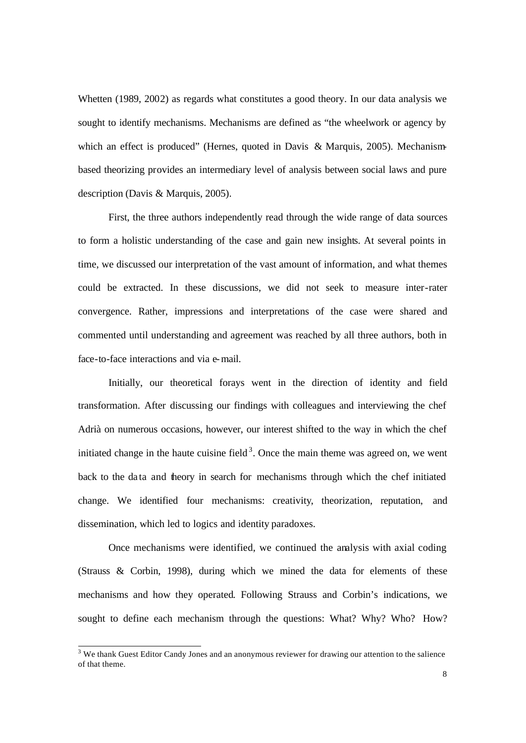Whetten (1989, 2002) as regards what constitutes a good theory. In our data analysis we sought to identify mechanisms. Mechanisms are defined as "the wheelwork or agency by which an effect is produced" (Hernes, quoted in Davis & Marquis, 2005). Mechanismbased theorizing provides an intermediary level of analysis between social laws and pure description (Davis & Marquis, 2005).

First, the three authors independently read through the wide range of data sources to form a holistic understanding of the case and gain new insights. At several points in time, we discussed our interpretation of the vast amount of information, and what themes could be extracted. In these discussions, we did not seek to measure inter-rater convergence. Rather, impressions and interpretations of the case were shared and commented until understanding and agreement was reached by all three authors, both in face-to-face interactions and via e-mail.

Initially, our theoretical forays went in the direction of identity and field transformation. After discussing our findings with colleagues and interviewing the chef Adrià on numerous occasions, however, our interest shifted to the way in which the chef initiated change in the haute cuisine field<sup>3</sup>. Once the main theme was agreed on, we went back to the data and theory in search for mechanisms through which the chef initiated change. We identified four mechanisms: creativity, theorization, reputation, and dissemination, which led to logics and identity paradoxes.

Once mechanisms were identified, we continued the analysis with axial coding (Strauss & Corbin, 1998), during which we mined the data for elements of these mechanisms and how they operated. Following Strauss and Corbin's indications, we sought to define each mechanism through the questions: What? Why? Who? How?

<sup>&</sup>lt;sup>3</sup> We thank Guest Editor Candy Jones and an anonymous reviewer for drawing our attention to the salience of that theme.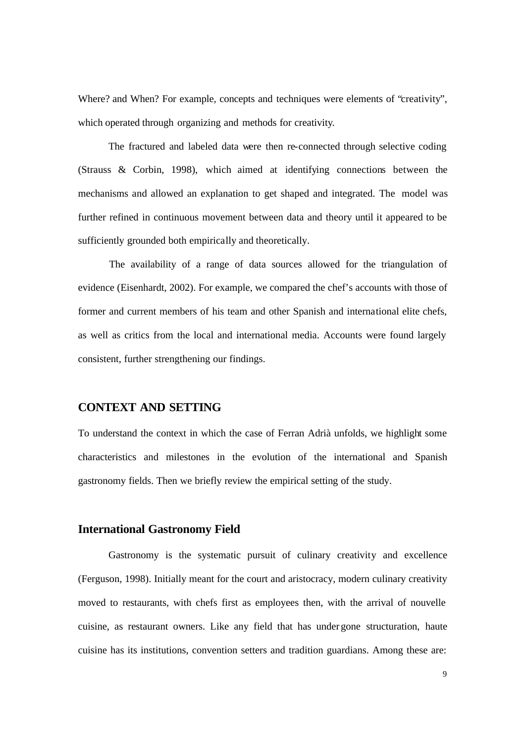Where? and When? For example, concepts and techniques were elements of "creativity", which operated through organizing and methods for creativity.

The fractured and labeled data were then re-connected through selective coding (Strauss & Corbin, 1998), which aimed at identifying connections between the mechanisms and allowed an explanation to get shaped and integrated. The model was further refined in continuous movement between data and theory until it appeared to be sufficiently grounded both empirically and theoretically.

The availability of a range of data sources allowed for the triangulation of evidence (Eisenhardt, 2002). For example, we compared the chef's accounts with those of former and current members of his team and other Spanish and international elite chefs, as well as critics from the local and international media. Accounts were found largely consistent, further strengthening our findings.

## **CONTEXT AND SETTING**

To understand the context in which the case of Ferran Adrià unfolds, we highlight some characteristics and milestones in the evolution of the international and Spanish gastronomy fields. Then we briefly review the empirical setting of the study.

### **International Gastronomy Field**

Gastronomy is the systematic pursuit of culinary creativity and excellence (Ferguson, 1998). Initially meant for the court and aristocracy, modern culinary creativity moved to restaurants, with chefs first as employees then, with the arrival of nouvelle cuisine, as restaurant owners. Like any field that has under gone structuration, haute cuisine has its institutions, convention setters and tradition guardians. Among these are: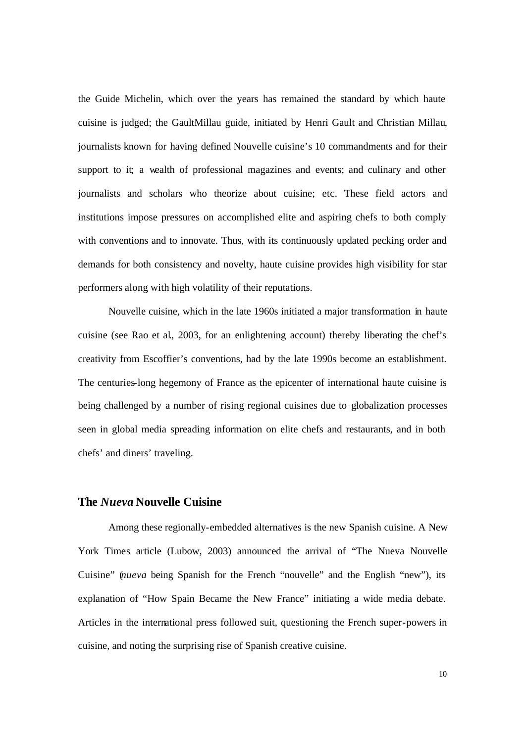the Guide Michelin, which over the years has remained the standard by which haute cuisine is judged; the GaultMillau guide, initiated by Henri Gault and Christian Millau, journalists known for having defined Nouvelle cuisine's 10 commandments and for their support to it; a wealth of professional magazines and events; and culinary and other journalists and scholars who theorize about cuisine; etc. These field actors and institutions impose pressures on accomplished elite and aspiring chefs to both comply with conventions and to innovate. Thus, with its continuously updated pecking order and demands for both consistency and novelty, haute cuisine provides high visibility for star performers along with high volatility of their reputations.

Nouvelle cuisine, which in the late 1960s initiated a major transformation in haute cuisine (see Rao et al*.*, 2003, for an enlightening account) thereby liberating the chef's creativity from Escoffier's conventions, had by the late 1990s become an establishment. The centuries-long hegemony of France as the epicenter of international haute cuisine is being challenged by a number of rising regional cuisines due to globalization processes seen in global media spreading information on elite chefs and restaurants, and in both chefs' and diners' traveling.

### **The** *Nueva* **Nouvelle Cuisine**

Among these regionally-embedded alternatives is the new Spanish cuisine. A New York Times article (Lubow, 2003) announced the arrival of "The Nueva Nouvelle Cuisine" (*nueva* being Spanish for the French "nouvelle" and the English "new"), its explanation of "How Spain Became the New France" initiating a wide media debate. Articles in the international press followed suit, questioning the French super-powers in cuisine, and noting the surprising rise of Spanish creative cuisine.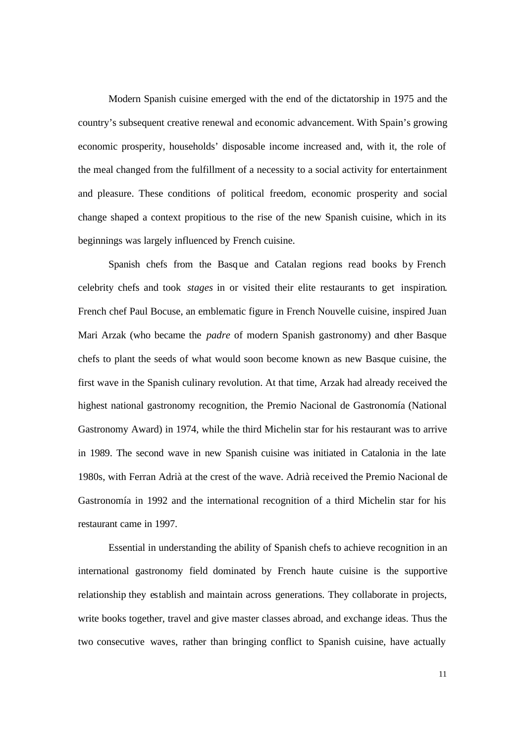Modern Spanish cuisine emerged with the end of the dictatorship in 1975 and the country's subsequent creative renewal and economic advancement. With Spain's growing economic prosperity, households' disposable income increased and, with it, the role of the meal changed from the fulfillment of a necessity to a social activity for entertainment and pleasure. These conditions of political freedom, economic prosperity and social change shaped a context propitious to the rise of the new Spanish cuisine, which in its beginnings was largely influenced by French cuisine.

Spanish chefs from the Basque and Catalan regions read books by French celebrity chefs and took *stages* in or visited their elite restaurants to get inspiration. French chef Paul Bocuse, an emblematic figure in French Nouvelle cuisine, inspired Juan Mari Arzak (who became the *padre* of modern Spanish gastronomy) and other Basque chefs to plant the seeds of what would soon become known as new Basque cuisine, the first wave in the Spanish culinary revolution. At that time, Arzak had already received the highest national gastronomy recognition, the Premio Nacional de Gastronomía (National Gastronomy Award) in 1974, while the third Michelin star for his restaurant was to arrive in 1989. The second wave in new Spanish cuisine was initiated in Catalonia in the late 1980s, with Ferran Adrià at the crest of the wave. Adrià received the Premio Nacional de Gastronomía in 1992 and the international recognition of a third Michelin star for his restaurant came in 1997.

Essential in understanding the ability of Spanish chefs to achieve recognition in an international gastronomy field dominated by French haute cuisine is the supportive relationship they establish and maintain across generations. They collaborate in projects, write books together, travel and give master classes abroad, and exchange ideas. Thus the two consecutive waves, rather than bringing conflict to Spanish cuisine, have actually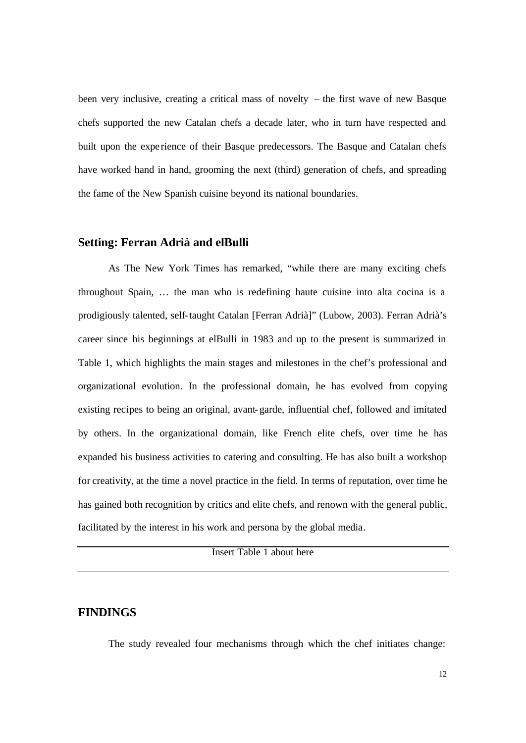been very inclusive, creating a critical mass of novelty – the first wave of new Basque chefs supported the new Catalan chefs a decade later, who in turn have respected and built upon the expe rience of their Basque predecessors. The Basque and Catalan chefs have worked hand in hand, grooming the next (third) generation of chefs, and spreading the fame of the New Spanish cuisine beyond its national boundaries.

### **Setting: Ferran Adrià and elBulli**

As The New York Times has remarked, "while there are many exciting chefs throughout Spain, … the man who is redefining haute cuisine into alta cocina is a prodigiously talented, self-taught Catalan [Ferran Adrià]" (Lubow, 2003). Ferran Adrià's career since his beginnings at elBulli in 1983 and up to the present is summarized in Table 1, which highlights the main stages and milestones in the chef's professional and organizational evolution. In the professional domain, he has evolved from copying existing recipes to being an original, avant-garde, influential chef, followed and imitated by others. In the organizational domain, like French elite chefs, over time he has expanded his business activities to catering and consulting. He has also built a workshop for creativity, at the time a novel practice in the field. In terms of reputation, over time he has gained both recognition by critics and elite chefs, and renown with the general public, facilitated by the interest in his work and persona by the global media.

Insert Table 1 about here

# **FINDINGS**

The study revealed four mechanisms through which the chef initiates change: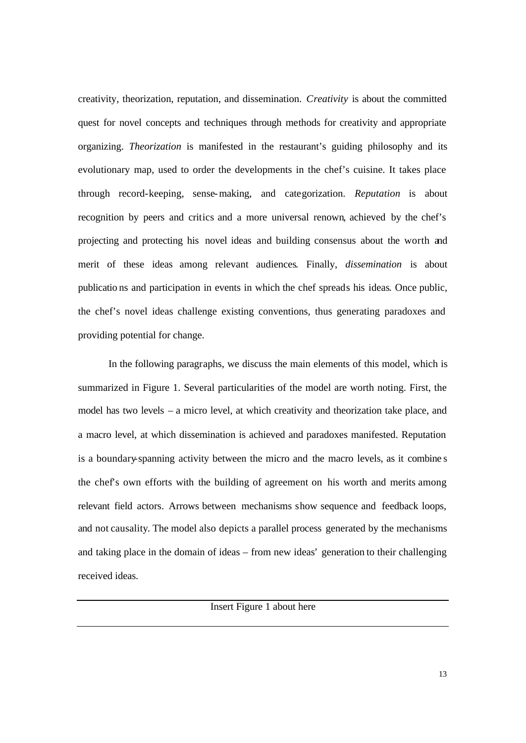creativity, theorization, reputation, and dissemination. *Creativity* is about the committed quest for novel concepts and techniques through methods for creativity and appropriate organizing. *Theorization* is manifested in the restaurant's guiding philosophy and its evolutionary map, used to order the developments in the chef's cuisine. It takes place through record-keeping, sense-making, and categorization. *Reputation* is about recognition by peers and critics and a more universal renown, achieved by the chef's projecting and protecting his novel ideas and building consensus about the worth and merit of these ideas among relevant audiences. Finally, *dissemination* is about publicatio ns and participation in events in which the chef spreads his ideas. Once public, the chef's novel ideas challenge existing conventions, thus generating paradoxes and providing potential for change.

In the following paragraphs, we discuss the main elements of this model, which is summarized in Figure 1. Several particularities of the model are worth noting. First, the model has two levels – a micro level, at which creativity and theorization take place, and a macro level, at which dissemination is achieved and paradoxes manifested. Reputation is a boundary-spanning activity between the micro and the macro levels, as it combine s the chef's own efforts with the building of agreement on his worth and merits among relevant field actors. Arrows between mechanisms show sequence and feedback loops, and not causality. The model also depicts a parallel process generated by the mechanisms and taking place in the domain of ideas – from new ideas' generation to their challenging received ideas.

# Insert Figure 1 about here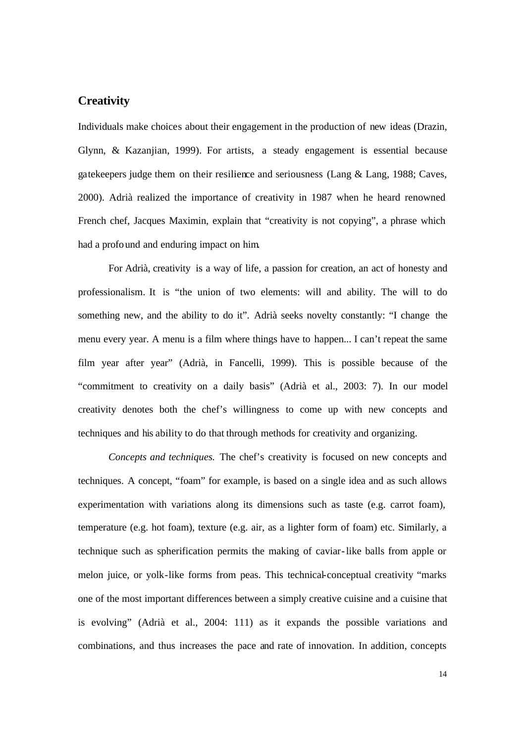# **Creativity**

Individuals make choices about their engagement in the production of new ideas (Drazin, Glynn, & Kazanjian, 1999). For artists, a steady engagement is essential because gatekeepers judge them on their resilience and seriousness (Lang & Lang, 1988; Caves, 2000). Adrià realized the importance of creativity in 1987 when he heard renowned French chef, Jacques Maximin, explain that "creativity is not copying", a phrase which had a profound and enduring impact on him.

For Adrià, creativity is a way of life, a passion for creation, an act of honesty and professionalism. It is "the union of two elements: will and ability. The will to do something new, and the ability to do it". Adrià seeks novelty constantly: "I change the menu every year. A menu is a film where things have to happen... I can't repeat the same film year after year" (Adrià, in Fancelli, 1999). This is possible because of the "commitment to creativity on a daily basis" (Adrià et al., 2003: 7). In our model creativity denotes both the chef's willingness to come up with new concepts and techniques and his ability to do that through methods for creativity and organizing.

*Concepts and techniques.* The chef's creativity is focused on new concepts and techniques. A concept, "foam" for example, is based on a single idea and as such allows experimentation with variations along its dimensions such as taste (e.g. carrot foam), temperature (e.g. hot foam), texture (e.g. air, as a lighter form of foam) etc. Similarly, a technique such as spherification permits the making of caviar-like balls from apple or melon juice, or yolk-like forms from peas. This technical-conceptual creativity "marks one of the most important differences between a simply creative cuisine and a cuisine that is evolving" (Adrià et al., 2004: 111) as it expands the possible variations and combinations, and thus increases the pace and rate of innovation. In addition, concepts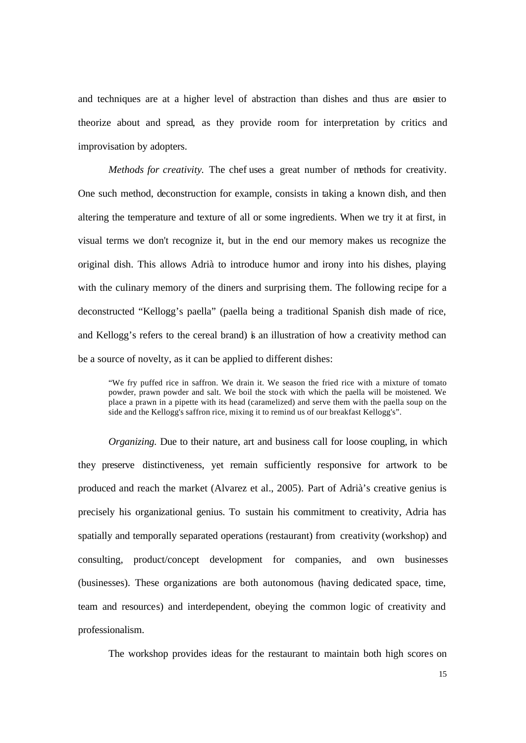and techniques are at a higher level of abstraction than dishes and thus are easier to theorize about and spread, as they provide room for interpretation by critics and improvisation by adopters.

*Methods for creativity.* The chef uses a great number of methods for creativity. One such method, deconstruction for example, consists in taking a known dish, and then altering the temperature and texture of all or some ingredients. When we try it at first, in visual terms we don't recognize it, but in the end our memory makes us recognize the original dish. This allows Adrià to introduce humor and irony into his dishes, playing with the culinary memory of the diners and surprising them. The following recipe for a deconstructed "Kellogg's paella" (paella being a traditional Spanish dish made of rice, and Kellogg's refers to the cereal brand) is an illustration of how a creativity method can be a source of novelty, as it can be applied to different dishes:

"We fry puffed rice in saffron. We drain it. We season the fried rice with a mixture of tomato powder, prawn powder and salt. We boil the stock with which the paella will be moistened. We place a prawn in a pipette with its head (caramelized) and serve them with the paella soup on the side and the Kellogg's saffron rice, mixing it to remind us of our breakfast Kellogg's".

*Organizing.* Due to their nature, art and business call for loose coupling, in which they preserve distinctiveness, yet remain sufficiently responsive for artwork to be produced and reach the market (Alvarez et al., 2005). Part of Adrià's creative genius is precisely his organizational genius. To sustain his commitment to creativity, Adria has spatially and temporally separated operations (restaurant) from creativity (workshop) and consulting, product/concept development for companies, and own businesses (businesses). These organizations are both autonomous (having dedicated space, time, team and resources) and interdependent, obeying the common logic of creativity and professionalism.

The workshop provides ideas for the restaurant to maintain both high scores on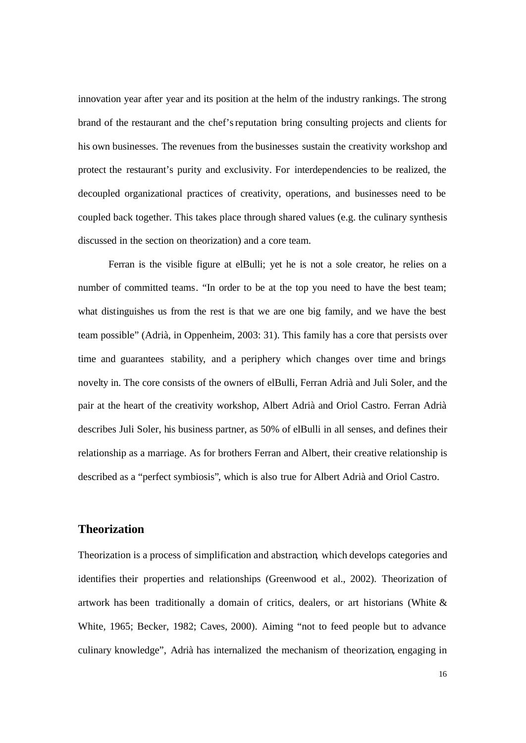innovation year after year and its position at the helm of the industry rankings. The strong brand of the restaurant and the chef's reputation bring consulting projects and clients for his own businesses. The revenues from the businesses sustain the creativity workshop and protect the restaurant's purity and exclusivity. For interdependencies to be realized, the decoupled organizational practices of creativity, operations, and businesses need to be coupled back together. This takes place through shared values (e.g. the culinary synthesis discussed in the section on theorization) and a core team.

Ferran is the visible figure at elBulli; yet he is not a sole creator, he relies on a number of committed teams. "In order to be at the top you need to have the best team; what distinguishes us from the rest is that we are one big family, and we have the best team possible" (Adrià, in Oppenheim, 2003: 31). This family has a core that persists over time and guarantees stability, and a periphery which changes over time and brings novelty in. The core consists of the owners of elBulli, Ferran Adrià and Juli Soler, and the pair at the heart of the creativity workshop, Albert Adrià and Oriol Castro. Ferran Adrià describes Juli Soler, his business partner, as 50% of elBulli in all senses, and defines their relationship as a marriage. As for brothers Ferran and Albert, their creative relationship is described as a "perfect symbiosis", which is also true for Albert Adrià and Oriol Castro.

## **Theorization**

Theorization is a process of simplification and abstraction, which develops categories and identifies their properties and relationships (Greenwood et al., 2002). Theorization of artwork has been traditionally a domain of critics, dealers, or art historians (White & White, 1965; Becker, 1982; Caves, 2000). Aiming "not to feed people but to advance culinary knowledge", Adrià has internalized the mechanism of theorization, engaging in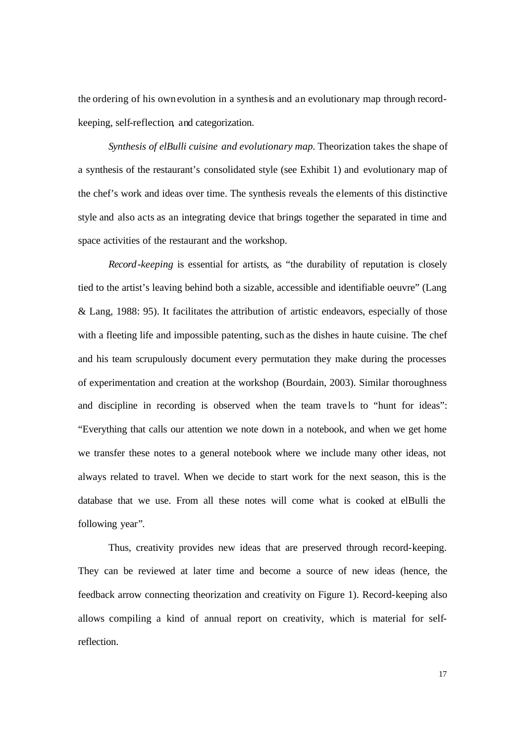the ordering of his own evolution in a synthesis and an evolutionary map through recordkeeping, self-reflection, and categorization.

*Synthesis of elBulli cuisine and evolutionary map.* Theorization takes the shape of a synthesis of the restaurant's consolidated style (see Exhibit 1) and evolutionary map of the chef's work and ideas over time. The synthesis reveals the elements of this distinctive style and also acts as an integrating device that brings together the separated in time and space activities of the restaurant and the workshop.

*Record-keeping* is essential for artists, as "the durability of reputation is closely tied to the artist's leaving behind both a sizable, accessible and identifiable oeuvre" (Lang & Lang, 1988: 95). It facilitates the attribution of artistic endeavors, especially of those with a fleeting life and impossible patenting, such as the dishes in haute cuisine. The chef and his team scrupulously document every permutation they make during the processes of experimentation and creation at the workshop (Bourdain, 2003). Similar thoroughness and discipline in recording is observed when the team trave ls to "hunt for ideas": "Everything that calls our attention we note down in a notebook, and when we get home we transfer these notes to a general notebook where we include many other ideas, not always related to travel. When we decide to start work for the next season, this is the database that we use. From all these notes will come what is cooked at elBulli the following year".

Thus, creativity provides new ideas that are preserved through record-keeping. They can be reviewed at later time and become a source of new ideas (hence, the feedback arrow connecting theorization and creativity on Figure 1). Record-keeping also allows compiling a kind of annual report on creativity, which is material for selfreflection.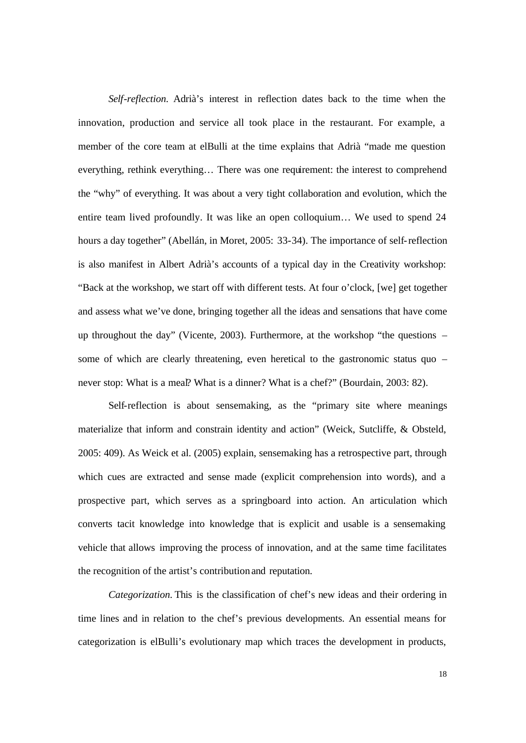*Self-reflection.* Adrià's interest in reflection dates back to the time when the innovation, production and service all took place in the restaurant. For example, a member of the core team at elBulli at the time explains that Adrià "made me question everything, rethink everything… There was one requirement: the interest to comprehend the "why" of everything. It was about a very tight collaboration and evolution, which the entire team lived profoundly. It was like an open colloquium… We used to spend 24 hours a day together" (Abellán, in Moret, 2005: 33-34). The importance of self-reflection is also manifest in Albert Adrià's accounts of a typical day in the Creativity workshop: "Back at the workshop, we start off with different tests. At four o'clock, [we] get together and assess what we've done, bringing together all the ideas and sensations that have come up throughout the day" (Vicente, 2003). Furthermore, at the workshop "the questions – some of which are clearly threatening, even heretical to the gastronomic status quo – never stop: What is a meal? What is a dinner? What is a chef?" (Bourdain, 2003: 82).

Self-reflection is about sensemaking, as the "primary site where meanings materialize that inform and constrain identity and action" (Weick, Sutcliffe, & Obsteld, 2005: 409). As Weick et al. (2005) explain, sensemaking has a retrospective part, through which cues are extracted and sense made (explicit comprehension into words), and a prospective part, which serves as a springboard into action. An articulation which converts tacit knowledge into knowledge that is explicit and usable is a sensemaking vehicle that allows improving the process of innovation, and at the same time facilitates the recognition of the artist's contribution and reputation.

*Categorization.* This is the classification of chef's new ideas and their ordering in time lines and in relation to the chef's previous developments. An essential means for categorization is elBulli's evolutionary map which traces the development in products,

18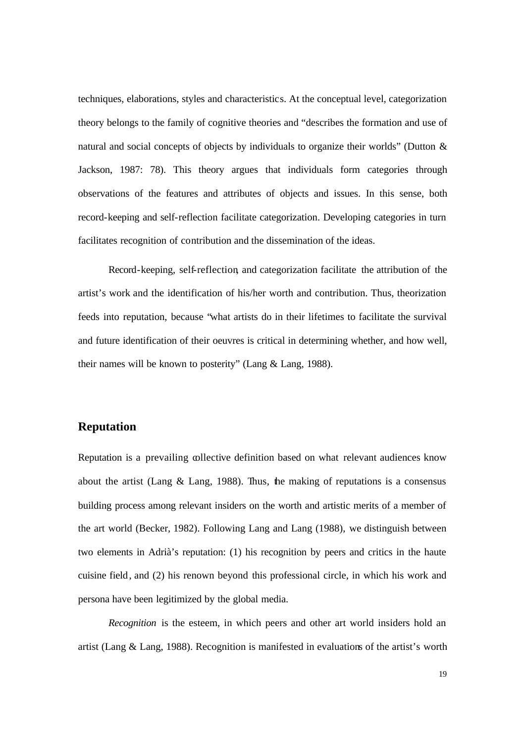techniques, elaborations, styles and characteristics. At the conceptual level, categorization theory belongs to the family of cognitive theories and "describes the formation and use of natural and social concepts of objects by individuals to organize their worlds" (Dutton & Jackson, 1987: 78). This theory argues that individuals form categories through observations of the features and attributes of objects and issues. In this sense, both record-keeping and self-reflection facilitate categorization. Developing categories in turn facilitates recognition of contribution and the dissemination of the ideas.

Record-keeping, self-reflection, and categorization facilitate the attribution of the artist's work and the identification of his/her worth and contribution. Thus, theorization feeds into reputation, because "what artists do in their lifetimes to facilitate the survival and future identification of their oeuvres is critical in determining whether, and how well, their names will be known to posterity" (Lang & Lang, 1988).

## **Reputation**

Reputation is a prevailing collective definition based on what relevant audiences know about the artist (Lang & Lang, 1988). Thus, the making of reputations is a consensus building process among relevant insiders on the worth and artistic merits of a member of the art world (Becker, 1982). Following Lang and Lang (1988), we distinguish between two elements in Adrià's reputation: (1) his recognition by peers and critics in the haute cuisine field, and (2) his renown beyond this professional circle, in which his work and persona have been legitimized by the global media.

*Recognition* is the esteem, in which peers and other art world insiders hold an artist (Lang & Lang, 1988). Recognition is manifested in evaluations of the artist's worth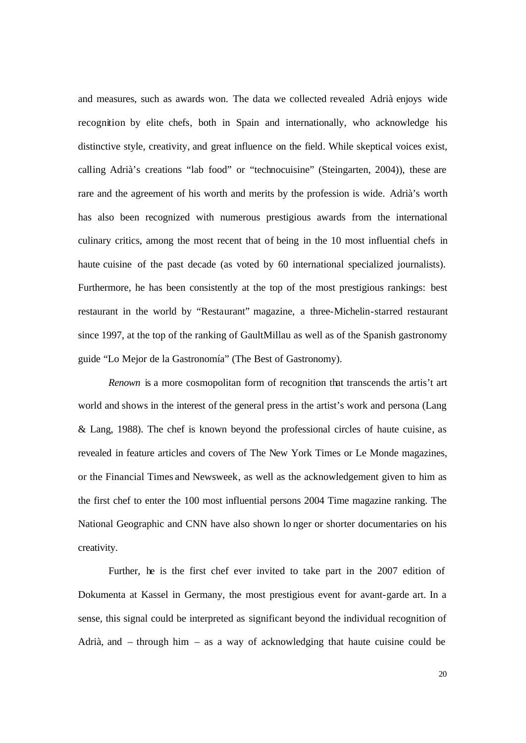and measures, such as awards won. The data we collected revealed Adrià enjoys wide recognition by elite chefs, both in Spain and internationally, who acknowledge his distinctive style, creativity, and great influence on the field. While skeptical voices exist, calling Adrià's creations "lab food" or "technocuisine" (Steingarten, 2004)), these are rare and the agreement of his worth and merits by the profession is wide. Adrià's worth has also been recognized with numerous prestigious awards from the international culinary critics, among the most recent that of being in the 10 most influential chefs in haute cuisine of the past decade (as voted by 60 international specialized journalists). Furthermore, he has been consistently at the top of the most prestigious rankings: best restaurant in the world by "Restaurant" magazine, a three-Michelin-starred restaurant since 1997, at the top of the ranking of GaultMillau as well as of the Spanish gastronomy guide "Lo Mejor de la Gastronomía" (The Best of Gastronomy).

*Renown* is a more cosmopolitan form of recognition that transcends the artis't art world and shows in the interest of the general press in the artist's work and persona (Lang & Lang, 1988). The chef is known beyond the professional circles of haute cuisine, as revealed in feature articles and covers of The New York Times or Le Monde magazines, or the Financial Times and Newsweek, as well as the acknowledgement given to him as the first chef to enter the 100 most influential persons 2004 Time magazine ranking. The National Geographic and CNN have also shown lo nger or shorter documentaries on his creativity.

Further, he is the first chef ever invited to take part in the 2007 edition of Dokumenta at Kassel in Germany, the most prestigious event for avant-garde art. In a sense, this signal could be interpreted as significant beyond the individual recognition of Adrià, and – through him – as a way of acknowledging that haute cuisine could be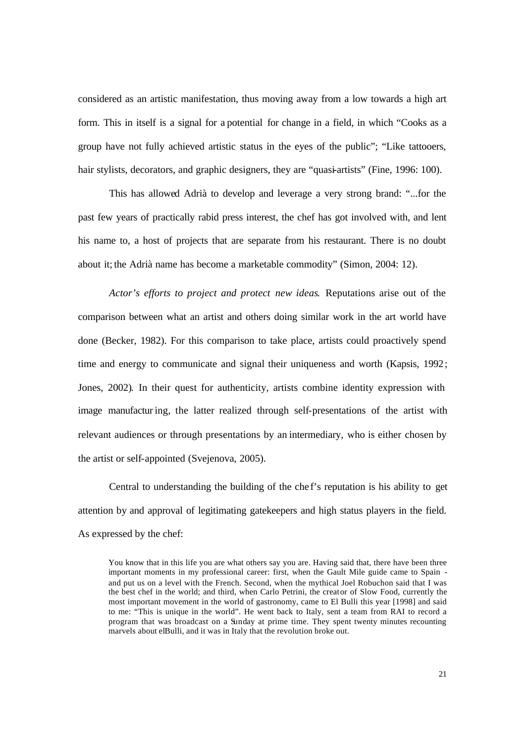considered as an artistic manifestation, thus moving away from a low towards a high art form. This in itself is a signal for a potential for change in a field, in which "Cooks as a group have not fully achieved artistic status in the eyes of the public"; "Like tattooers, hair stylists, decorators, and graphic designers, they are "quasi-artists" (Fine, 1996: 100).

This has allowed Adrià to develop and leverage a very strong brand: "...for the past few years of practically rabid press interest, the chef has got involved with, and lent his name to, a host of projects that are separate from his restaurant. There is no doubt about it; the Adrià name has become a marketable commodity" (Simon, 2004: 12).

*Actor's efforts to project and protect new ideas.* Reputations arise out of the comparison between what an artist and others doing similar work in the art world have done (Becker, 1982). For this comparison to take place, artists could proactively spend time and energy to communicate and signal their uniqueness and worth (Kapsis, 1992; Jones, 2002). In their quest for authenticity, artists combine identity expression with image manufactur ing, the latter realized through self-presentations of the artist with relevant audiences or through presentations by an intermediary, who is either chosen by the artist or self-appointed (Svejenova, 2005).

Central to understanding the building of the che f's reputation is his ability to get attention by and approval of legitimating gatekeepers and high status players in the field. As expressed by the chef:

You know that in this life you are what others say you are. Having said that, there have been three important moments in my professional career: first, when the Gault Mile guide came to Spain and put us on a level with the French. Second, when the mythical Joel Robuchon said that I was the best chef in the world; and third, when Carlo Petrini, the creator of Slow Food, currently the most important movement in the world of gastronomy, came to El Bulli this year [1998] and said to me: "This is unique in the world". He went back to Italy, sent a team from RAI to record a program that was broadcast on a Sunday at prime time. They spent twenty minutes recounting marvels about elBulli, and it was in Italy that the revolution broke out.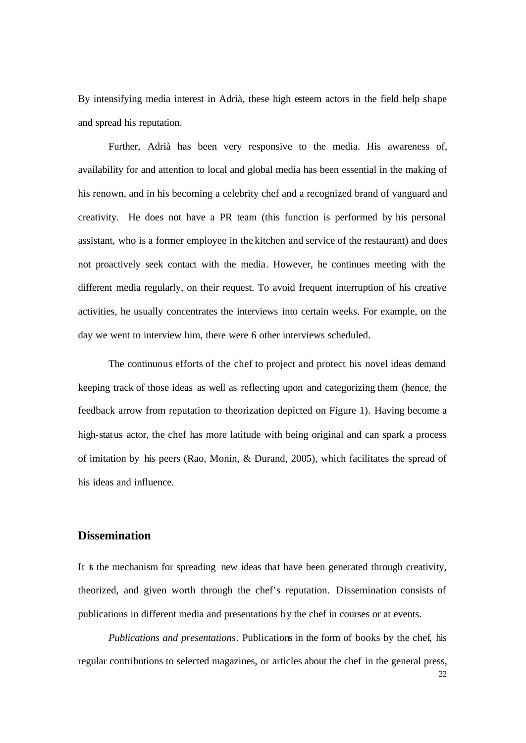By intensifying media interest in Adrià, these high esteem actors in the field help shape and spread his reputation.

Further, Adrià has been very responsive to the media. His awareness of, availability for and attention to local and global media has been essential in the making of his renown, and in his becoming a celebrity chef and a recognized brand of vanguard and creativity. He does not have a PR team (this function is performed by his personal assistant, who is a former employee in the kitchen and service of the restaurant) and does not proactively seek contact with the media. However, he continues meeting with the different media regularly, on their request. To avoid frequent interruption of his creative activities, he usually concentrates the interviews into certain weeks. For example, on the day we went to interview him, there were 6 other interviews scheduled.

The continuous efforts of the chef to project and protect his novel ideas demand keeping track of those ideas as well as reflecting upon and categorizing them (hence, the feedback arrow from reputation to theorization depicted on Figure 1). Having become a high-status actor, the chef has more latitude with being original and can spark a process of imitation by his peers (Rao, Monin, & Durand, 2005), which facilitates the spread of his ideas and influence.

# **Dissemination**

It is the mechanism for spreading new ideas that have been generated through creativity, theorized, and given worth through the chef's reputation. Dissemination consists of publications in different media and presentations by the chef in courses or at events.

*Publications and presentations*. Publications in the form of books by the chef, his regular contributions to selected magazines, or articles about the chef in the general press,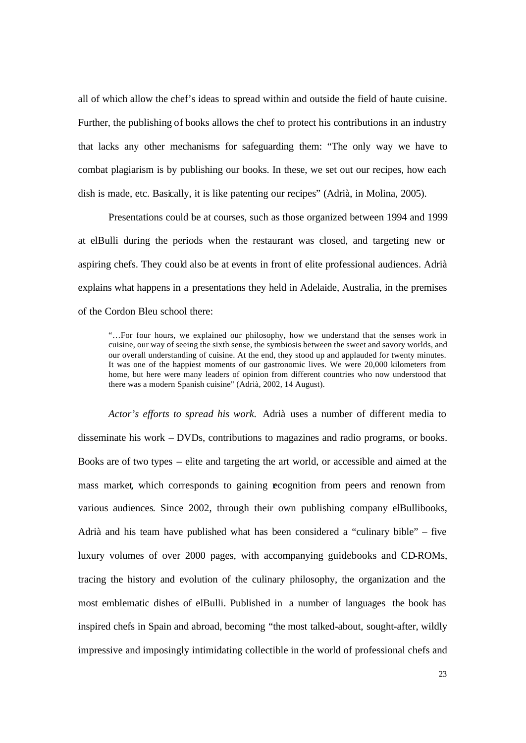all of which allow the chef's ideas to spread within and outside the field of haute cuisine. Further, the publishing of books allows the chef to protect his contributions in an industry that lacks any other mechanisms for safeguarding them: "The only way we have to combat plagiarism is by publishing our books. In these, we set out our recipes, how each dish is made, etc. Basically, it is like patenting our recipes" (Adrià, in Molina, 2005).

Presentations could be at courses, such as those organized between 1994 and 1999 at elBulli during the periods when the restaurant was closed, and targeting new or aspiring chefs. They could also be at events in front of elite professional audiences. Adrià explains what happens in a presentations they held in Adelaide, Australia, in the premises of the Cordon Bleu school there:

"…For four hours, we explained our philosophy, how we understand that the senses work in cuisine, our way of seeing the sixth sense, the symbiosis between the sweet and savory worlds, and our overall understanding of cuisine. At the end, they stood up and applauded for twenty minutes. It was one of the happiest moments of our gastronomic lives. We were 20,000 kilometers from home, but here were many leaders of opinion from different countries who now understood that there was a modern Spanish cuisine" (Adrià, 2002, 14 August).

*Actor's efforts to spread his work.* Adrià uses a number of different media to disseminate his work – DVDs, contributions to magazines and radio programs, or books. Books are of two types – elite and targeting the art world, or accessible and aimed at the mass market, which corresponds to gaining recognition from peers and renown from various audiences. Since 2002, through their own publishing company elBullibooks, Adrià and his team have published what has been considered a "culinary bible" – five luxury volumes of over 2000 pages, with accompanying guidebooks and CD-ROMs, tracing the history and evolution of the culinary philosophy, the organization and the most emblematic dishes of elBulli. Published in a number of languages the book has inspired chefs in Spain and abroad, becoming "the most talked-about, sought-after, wildly impressive and imposingly intimidating collectible in the world of professional chefs and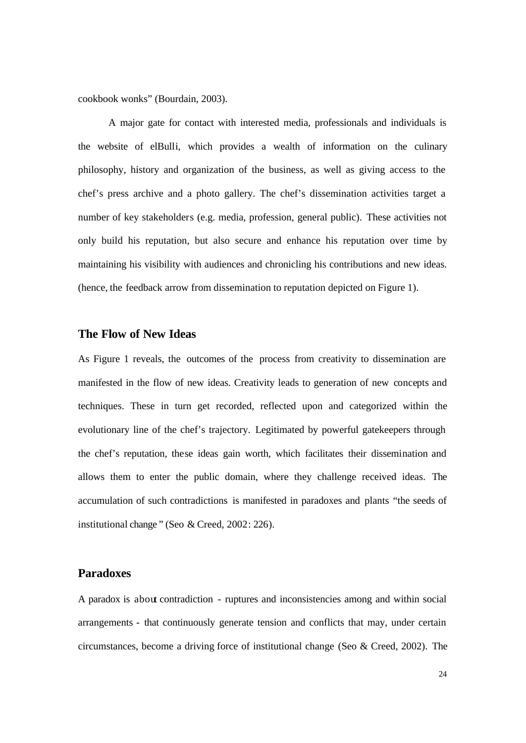cookbook wonks" (Bourdain, 2003).

A major gate for contact with interested media, professionals and individuals is the website of elBulli, which provides a wealth of information on the culinary philosophy, history and organization of the business, as well as giving access to the chef's press archive and a photo gallery. The chef's dissemination activities target a number of key stakeholders (e.g. media, profession, general public). These activities not only build his reputation, but also secure and enhance his reputation over time by maintaining his visibility with audiences and chronicling his contributions and new ideas. (hence, the feedback arrow from dissemination to reputation depicted on Figure 1).

# **The Flow of New Ideas**

As Figure 1 reveals, the outcomes of the process from creativity to dissemination are manifested in the flow of new ideas. Creativity leads to generation of new concepts and techniques. These in turn get recorded, reflected upon and categorized within the evolutionary line of the chef's trajectory. Legitimated by powerful gatekeepers through the chef's reputation, these ideas gain worth, which facilitates their dissemination and allows them to enter the public domain, where they challenge received ideas. The accumulation of such contradictions is manifested in paradoxes and plants "the seeds of institutional change " (Seo & Creed, 2002: 226).

## **Paradoxes**

A paradox is about contradiction - ruptures and inconsistencies among and within social arrangements - that continuously generate tension and conflicts that may, under certain circumstances, become a driving force of institutional change (Seo  $&$  Creed, 2002). The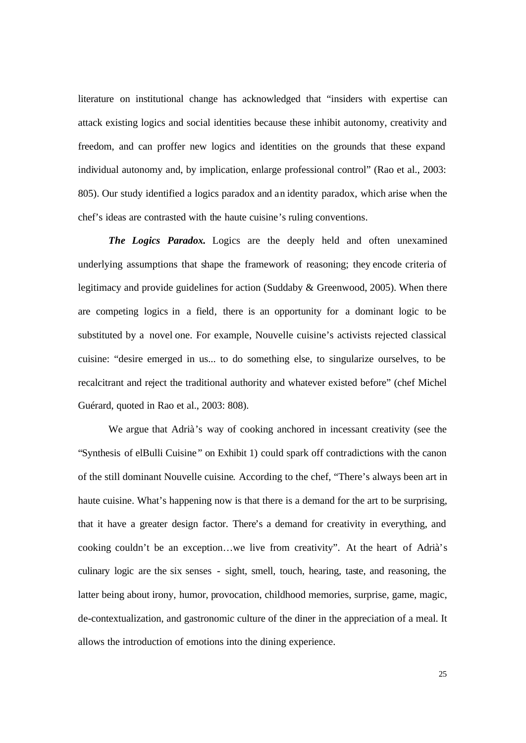literature on institutional change has acknowledged that "insiders with expertise can attack existing logics and social identities because these inhibit autonomy, creativity and freedom, and can proffer new logics and identities on the grounds that these expand individual autonomy and, by implication, enlarge professional control" (Rao et al., 2003: 805). Our study identified a logics paradox and an identity paradox, which arise when the chef's ideas are contrasted with the haute cuisine's ruling conventions.

*The Logics Paradox.* Logics are the deeply held and often unexamined underlying assumptions that shape the framework of reasoning; they encode criteria of legitimacy and provide guidelines for action (Suddaby & Greenwood, 2005). When there are competing logics in a field, there is an opportunity for a dominant logic to be substituted by a novel one. For example, Nouvelle cuisine's activists rejected classical cuisine: "desire emerged in us... to do something else, to singularize ourselves, to be recalcitrant and reject the traditional authority and whatever existed before" (chef Michel Guérard, quoted in Rao et al., 2003: 808).

We argue that Adrià's way of cooking anchored in incessant creativity (see the "Synthesis of elBulli Cuisine" on Exhibit 1) could spark off contradictions with the canon of the still dominant Nouvelle cuisine. According to the chef, "There's always been art in haute cuisine. What's happening now is that there is a demand for the art to be surprising, that it have a greater design factor. There's a demand for creativity in everything, and cooking couldn't be an exception…we live from creativity". At the heart of Adrià's culinary logic are the six senses - sight, smell, touch, hearing, taste, and reasoning, the latter being about irony, humor, provocation, childhood memories, surprise, game, magic, de-contextualization, and gastronomic culture of the diner in the appreciation of a meal. It allows the introduction of emotions into the dining experience.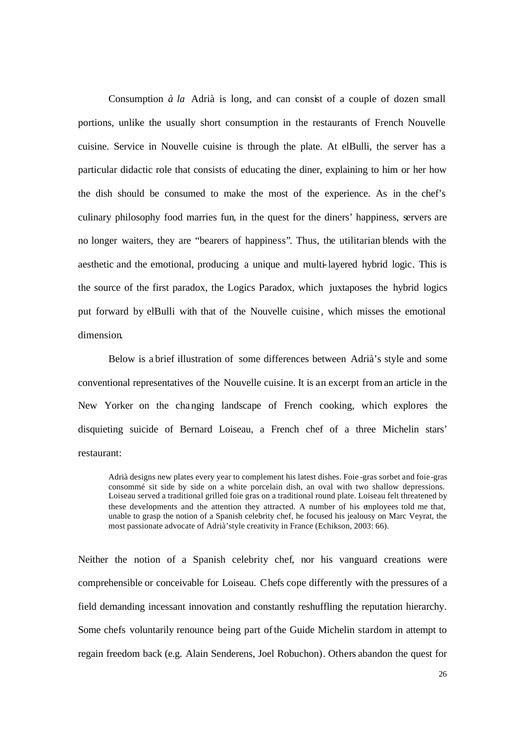Consumption *à la* Adrià is long, and can consist of a couple of dozen small portions, unlike the usually short consumption in the restaurants of French Nouvelle cuisine. Service in Nouvelle cuisine is through the plate. At elBulli, the server has a particular didactic role that consists of educating the diner, explaining to him or her how the dish should be consumed to make the most of the experience. As in the chef's culinary philosophy food marries fun, in the quest for the diners' happiness, servers are no longer waiters, they are "bearers of happiness". Thus, the utilitarian blends with the aesthetic and the emotional, producing a unique and multi-layered hybrid logic. This is the source of the first paradox, the Logics Paradox, which juxtaposes the hybrid logics put forward by elBulli with that of the Nouvelle cuisine , which misses the emotional dimension.

Below is a brief illustration of some differences between Adrià's style and some conventional representatives of the Nouvelle cuisine. It is an excerpt from an article in the New Yorker on the changing landscape of French cooking, which explores the disquieting suicide of Bernard Loiseau, a French chef of a three Michelin stars' restaurant:

Adrià designs new plates every year to complement his latest dishes. Foie -gras sorbet and foie-gras consommé sit side by side on a white porcelain dish, an oval with two shallow depressions. Loiseau served a traditional grilled foie gras on a traditional round plate. Loiseau felt threatened by these developments and the attention they attracted. A number of his employees told me that, unable to grasp the notion of a Spanish celebrity chef, he focused his jealousy on Marc Veyrat, the most passionate advocate of Adrià'style creativity in France (Echikson, 2003: 66).

Neither the notion of a Spanish celebrity chef, nor his vanguard creations were comprehensible or conceivable for Loiseau. Chefs cope differently with the pressures of a field demanding incessant innovation and constantly reshuffling the reputation hierarchy. Some chefs voluntarily renounce being part ofthe Guide Michelin stardom in attempt to regain freedom back (e.g. Alain Senderens, Joel Robuchon). Others abandon the quest for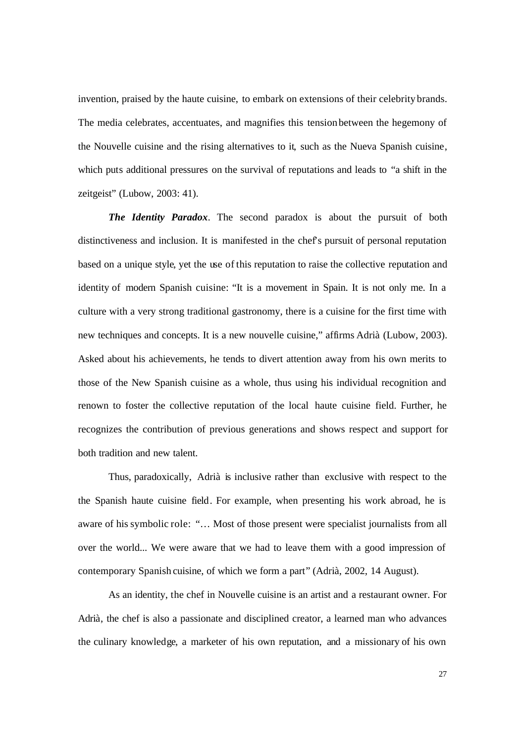invention, praised by the haute cuisine, to embark on extensions of their celebrity brands. The media celebrates, accentuates, and magnifies this tension between the hegemony of the Nouvelle cuisine and the rising alternatives to it, such as the Nueva Spanish cuisine, which puts additional pressures on the survival of reputations and leads to "a shift in the zeitgeist" (Lubow, 2003: 41).

*The Identity Paradox*. The second paradox is about the pursuit of both distinctiveness and inclusion. It is manifested in the chef's pursuit of personal reputation based on a unique style, yet the use of this reputation to raise the collective reputation and identity of modern Spanish cuisine: "It is a movement in Spain. It is not only me. In a culture with a very strong traditional gastronomy, there is a cuisine for the first time with new techniques and concepts. It is a new nouvelle cuisine," affirms Adrià (Lubow, 2003). Asked about his achievements, he tends to divert attention away from his own merits to those of the New Spanish cuisine as a whole, thus using his individual recognition and renown to foster the collective reputation of the local haute cuisine field. Further, he recognizes the contribution of previous generations and shows respect and support for both tradition and new talent.

Thus, paradoxically, Adrià is inclusive rather than exclusive with respect to the the Spanish haute cuisine field. For example, when presenting his work abroad, he is aware of his symbolic role: "… Most of those present were specialist journalists from all over the world... We were aware that we had to leave them with a good impression of contemporary Spanish cuisine, of which we form a part" (Adrià, 2002, 14 August).

As an identity, the chef in Nouvelle cuisine is an artist and a restaurant owner. For Adrià, the chef is also a passionate and disciplined creator, a learned man who advances the culinary knowledge, a marketer of his own reputation, and a missionary of his own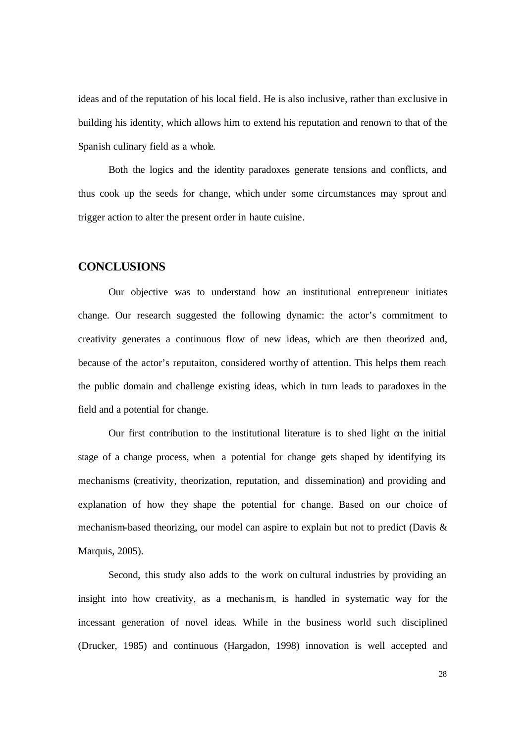ideas and of the reputation of his local field. He is also inclusive, rather than exclusive in building his identity, which allows him to extend his reputation and renown to that of the Spanish culinary field as a whole.

Both the logics and the identity paradoxes generate tensions and conflicts, and thus cook up the seeds for change, which under some circumstances may sprout and trigger action to alter the present order in haute cuisine.

# **CONCLUSIONS**

Our objective was to understand how an institutional entrepreneur initiates change. Our research suggested the following dynamic: the actor's commitment to creativity generates a continuous flow of new ideas, which are then theorized and, because of the actor's reputaiton, considered worthy of attention. This helps them reach the public domain and challenge existing ideas, which in turn leads to paradoxes in the field and a potential for change.

Our first contribution to the institutional literature is to shed light on the initial stage of a change process, when a potential for change gets shaped by identifying its mechanisms (creativity, theorization, reputation, and dissemination) and providing and explanation of how they shape the potential for change. Based on our choice of mechanism-based theorizing, our model can aspire to explain but not to predict (Davis & Marquis, 2005).

Second, this study also adds to the work on cultural industries by providing an insight into how creativity, as a mechanism, is handled in systematic way for the incessant generation of novel ideas. While in the business world such disciplined (Drucker, 1985) and continuous (Hargadon, 1998) innovation is well accepted and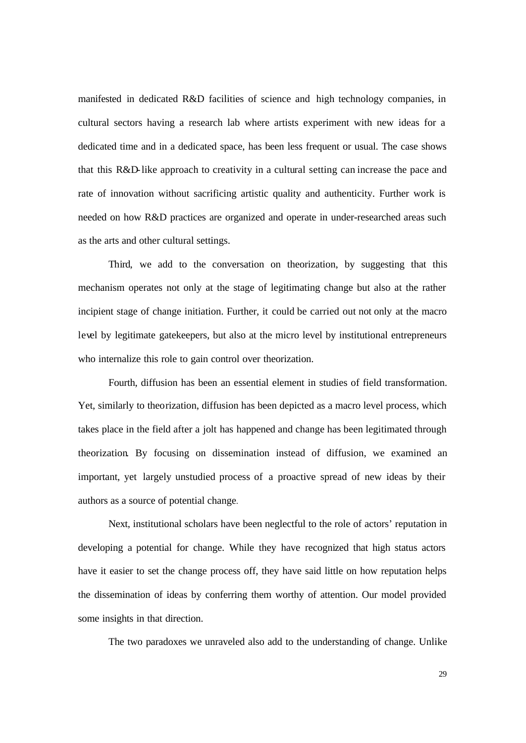manifested in dedicated R&D facilities of science and high technology companies, in cultural sectors having a research lab where artists experiment with new ideas for a dedicated time and in a dedicated space, has been less frequent or usual. The case shows that this R&D-like approach to creativity in a cultural setting can increase the pace and rate of innovation without sacrificing artistic quality and authenticity. Further work is needed on how R&D practices are organized and operate in under-researched areas such as the arts and other cultural settings.

Third, we add to the conversation on theorization, by suggesting that this mechanism operates not only at the stage of legitimating change but also at the rather incipient stage of change initiation. Further, it could be carried out not only at the macro level by legitimate gatekeepers, but also at the micro level by institutional entrepreneurs who internalize this role to gain control over theorization.

Fourth, diffusion has been an essential element in studies of field transformation. Yet, similarly to theorization, diffusion has been depicted as a macro level process, which takes place in the field after a jolt has happened and change has been legitimated through theorization. By focusing on dissemination instead of diffusion, we examined an important, yet largely unstudied process of a proactive spread of new ideas by their authors as a source of potential change.

Next, institutional scholars have been neglectful to the role of actors' reputation in developing a potential for change. While they have recognized that high status actors have it easier to set the change process off, they have said little on how reputation helps the dissemination of ideas by conferring them worthy of attention. Our model provided some insights in that direction.

The two paradoxes we unraveled also add to the understanding of change. Unlike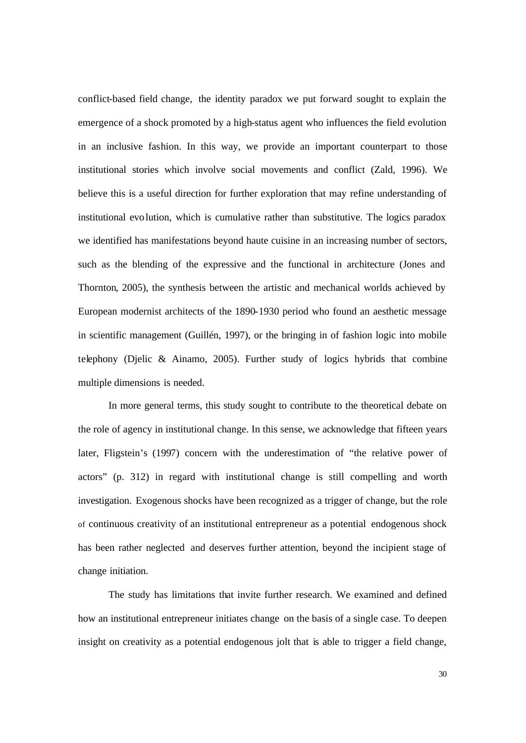conflict-based field change, the identity paradox we put forward sought to explain the emergence of a shock promoted by a high-status agent who influences the field evolution in an inclusive fashion. In this way, we provide an important counterpart to those institutional stories which involve social movements and conflict (Zald, 1996). We believe this is a useful direction for further exploration that may refine understanding of institutional evolution, which is cumulative rather than substitutive. The logics paradox we identified has manifestations beyond haute cuisine in an increasing number of sectors, such as the blending of the expressive and the functional in architecture (Jones and Thornton, 2005), the synthesis between the artistic and mechanical worlds achieved by European modernist architects of the 1890-1930 period who found an aesthetic message in scientific management (Guillén, 1997), or the bringing in of fashion logic into mobile telephony (Djelic & Ainamo, 2005). Further study of logics hybrids that combine multiple dimensions is needed.

In more general terms, this study sought to contribute to the theoretical debate on the role of agency in institutional change. In this sense, we acknowledge that fifteen years later, Fligstein's (1997) concern with the underestimation of "the relative power of actors" (p. 312) in regard with institutional change is still compelling and worth investigation. Exogenous shocks have been recognized as a trigger of change, but the role of continuous creativity of an institutional entrepreneur as a potential endogenous shock has been rather neglected and deserves further attention, beyond the incipient stage of change initiation.

The study has limitations that invite further research. We examined and defined how an institutional entrepreneur initiates change on the basis of a single case. To deepen insight on creativity as a potential endogenous jolt that is able to trigger a field change,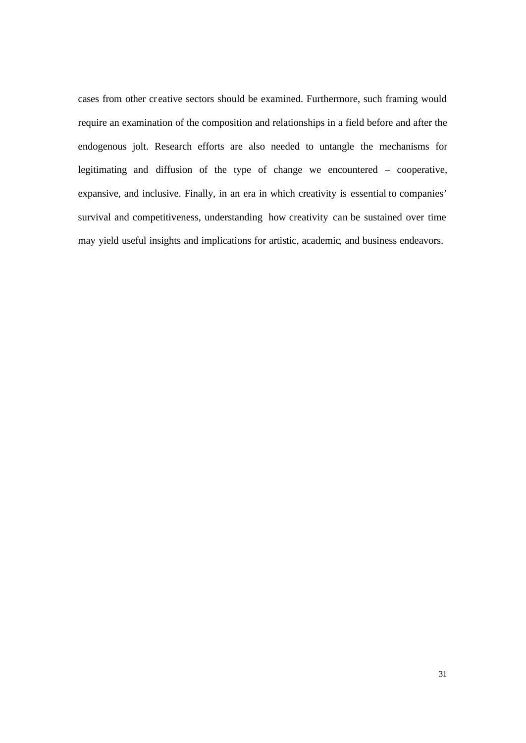cases from other creative sectors should be examined. Furthermore, such framing would require an examination of the composition and relationships in a field before and after the endogenous jolt. Research efforts are also needed to untangle the mechanisms for legitimating and diffusion of the type of change we encountered – cooperative, expansive, and inclusive. Finally, in an era in which creativity is essential to companies' survival and competitiveness, understanding how creativity can be sustained over time may yield useful insights and implications for artistic, academic, and business endeavors.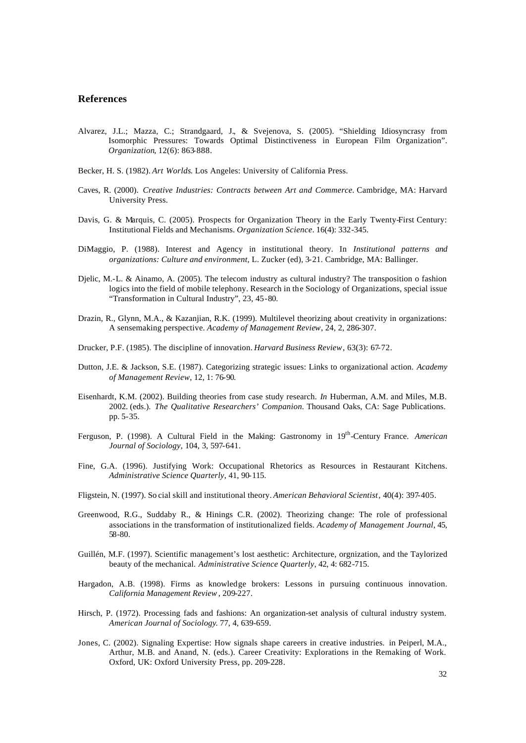#### **References**

- Alvarez, J.L.; Mazza, C.; Strandgaard, J., & Svejenova, S. (2005). "Shielding Idiosyncrasy from Isomorphic Pressures: Towards Optimal Distinctiveness in European Film Organization". *Organization*, 12(6): 863-888.
- Becker, H. S. (1982). *Art Worlds*. Los Angeles: University of California Press.
- Caves, R. (2000). *Creative Industries: Contracts between Art and Commerce.* Cambridge, MA: Harvard University Press.
- Davis, G. & Marquis, C. (2005). Prospects for Organization Theory in the Early Twenty-First Century: Institutional Fields and Mechanisms. *Organization Science*. 16(4): 332-345.
- DiMaggio, P. (1988). Interest and Agency in institutional theory. In *Institutional patterns and organizations: Culture and environment*, L. Zucker (ed), 3-21. Cambridge, MA: Ballinger.
- Djelic, M.-L. & Ainamo, A. (2005). The telecom industry as cultural industry? The transposition o fashion logics into the field of mobile telephony. Research in the Sociology of Organizations, special issue "Transformation in Cultural Industry", 23, 45-80.
- Drazin, R., Glynn, M.A., & Kazanjian, R.K. (1999). Multilevel theorizing about creativity in organizations: A sensemaking perspective. *Academy of Management Review*, 24, 2, 286-307.
- Drucker, P.F. (1985). The discipline of innovation. *Harvard Business Review*, 63(3): 67-72.
- Dutton, J.E. & Jackson, S.E. (1987). Categorizing strategic issues: Links to organizational action. *Academy of Management Review*, 12, 1: 76-90.
- Eisenhardt, K.M. (2002). Building theories from case study research. *In* Huberman, A.M. and Miles, M.B. 2002. (eds.). *The Qualitative Researchers' Companion.* Thousand Oaks, CA: Sage Publications. pp. 5-35.
- Ferguson, P. (1998). A Cultural Field in the Making: Gastronomy in 19<sup>th</sup>-Century France. American *Journal of Sociology*, 104, 3, 597-641.
- Fine, G.A. (1996). Justifying Work: Occupational Rhetorics as Resources in Restaurant Kitchens. *Administrative Science Quarterly*, 41, 90-115.
- Fligstein, N. (1997). So cial skill and institutional theory. *American Behavioral Scientist*, 40(4): 397-405.
- Greenwood, R.G., Suddaby R., & Hinings C.R. (2002). Theorizing change: The role of professional associations in the transformation of institutionalized fields. *Academy of Management Journal*, 45, 58-80.
- Guillén, M.F. (1997). Scientific management's lost aesthetic: Architecture, orgnization, and the Taylorized beauty of the mechanical. *Administrative Science Quarterly*, 42, 4: 682-715.
- Hargadon, A.B. (1998). Firms as knowledge brokers: Lessons in pursuing continuous innovation. *California Management Review*, 209-227.
- Hirsch, P. (1972). Processing fads and fashions: An organization-set analysis of cultural industry system. *American Journal of Sociology*. 77, 4, 639-659.
- Jones, C. (2002). Signaling Expertise: How signals shape careers in creative industries. in Peiperl, M.A., Arthur, M.B. and Anand, N. (eds.). Career Creativity: Explorations in the Remaking of Work. Oxford, UK: Oxford University Press, pp. 209-228.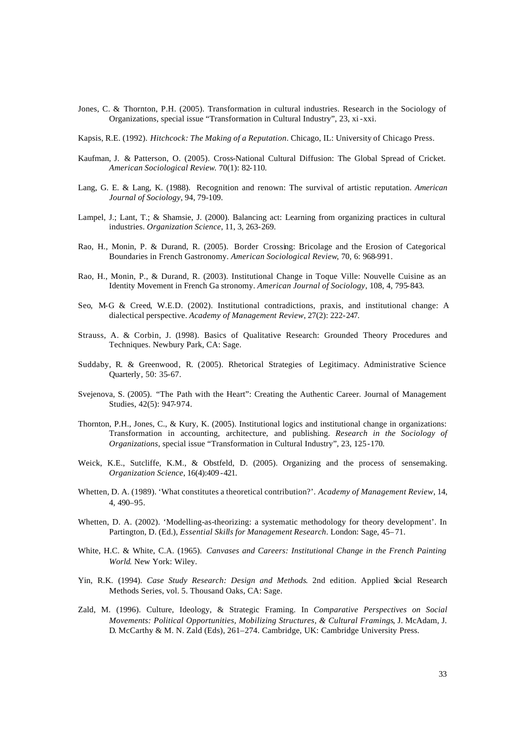- Jones, C. & Thornton, P.H. (2005). Transformation in cultural industries. Research in the Sociology of Organizations, special issue "Transformation in Cultural Industry", 23, xi-xxi.
- Kapsis, R.E. (1992). *Hitchcock: The Making of a Reputation*. Chicago, IL: University of Chicago Press.
- Kaufman, J. & Patterson, O. (2005). Cross-National Cultural Diffusion: The Global Spread of Cricket. *American Sociological Review*. 70(1): 82-110.
- Lang, G. E. & Lang, K. (1988). Recognition and renown: The survival of artistic reputation. *American Journal of Sociology*, 94, 79-109.
- Lampel, J.; Lant, T.; & Shamsie, J. (2000). Balancing act: Learning from organizing practices in cultural industries. *Organization Science*, 11, 3, 263-269.
- Rao, H., Monin, P. & Durand, R. (2005). Border Crossing: Bricolage and the Erosion of Categorical Boundaries in French Gastronomy. *American Sociological Review*, 70, 6: 968-991.
- Rao, H., Monin, P., & Durand, R. (2003). Institutional Change in Toque Ville: Nouvelle Cuisine as an Identity Movement in French Ga stronomy. *American Journal of Sociology*, 108, 4, 795-843.
- Seo, M-G & Creed, W.E.D. (2002). Institutional contradictions, praxis, and institutional change: A dialectical perspective. *Academy of Management Review*, 27(2): 222-247.
- Strauss, A. & Corbin, J. (1998). Basics of Qualitative Research: Grounded Theory Procedures and Techniques. Newbury Park, CA: Sage.
- Suddaby, R. & Greenwood, R. (2005). Rhetorical Strategies of Legitimacy. Administrative Science Quarterly, 50: 35-67.
- Svejenova, S. (2005). "The Path with the Heart": Creating the Authentic Career. Journal of Management Studies, 42(5): 947-974.
- Thornton, P.H., Jones, C., & Kury, K. (2005). Institutional logics and institutional change in organizations: Transformation in accounting, architecture, and publishing. *Research in the Sociology of Organizations*, special issue "Transformation in Cultural Industry", 23, 125-170.
- Weick, K.E., Sutcliffe, K.M., & Obstfeld, D. (2005). Organizing and the process of sensemaking. *Organization Science*, 16(4):409 -421.
- Whetten, D. A. (1989). 'What constitutes a theoretical contribution?'. *Academy of Management Review*, 14, 4, 490–95.
- Whetten, D. A. (2002). 'Modelling-as-theorizing: a systematic methodology for theory development'. In Partington, D. (Ed.), *Essential Skills for Management Research*. London: Sage, 45–71.
- White, H.C. & White, C.A. (1965). *Canvases and Careers: Institutional Change in the French Painting World*. New York: Wiley.
- Yin, R.K. (1994). *Case Study Research: Design and Methods*. 2nd edition. Applied Social Research Methods Series, vol. 5. Thousand Oaks, CA: Sage.
- Zald, M. (1996). Culture, Ideology, & Strategic Framing. In *Comparative Perspectives on Social Movements: Political Opportunities, Mobilizing Structures, & Cultural Framings*, J. McAdam, J. D. McCarthy & M. N. Zald (Eds), 261–274. Cambridge, UK: Cambridge University Press.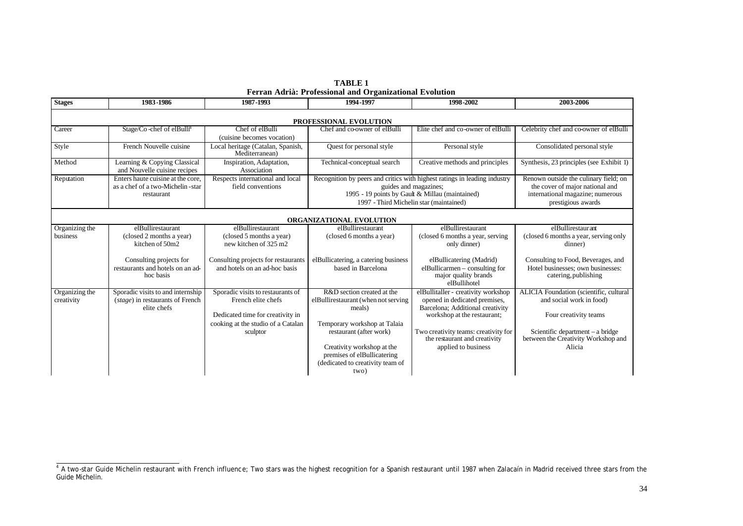| <b>Stages</b>                | 1983-1986                                                                            | 1987-1993                                                                                                                                     | 1994-1997                                                                                                                                                                                                                                       | 1998-2002                                                                                                                                                                                                                               | 2003-2006                                                                                                                                                                           |
|------------------------------|--------------------------------------------------------------------------------------|-----------------------------------------------------------------------------------------------------------------------------------------------|-------------------------------------------------------------------------------------------------------------------------------------------------------------------------------------------------------------------------------------------------|-----------------------------------------------------------------------------------------------------------------------------------------------------------------------------------------------------------------------------------------|-------------------------------------------------------------------------------------------------------------------------------------------------------------------------------------|
|                              |                                                                                      |                                                                                                                                               | PROFESSIONAL EVOLUTION                                                                                                                                                                                                                          |                                                                                                                                                                                                                                         |                                                                                                                                                                                     |
| Career                       | Stage/Co-chef of elBulli <sup>4</sup>                                                | Chef of elBulli<br>(cuisine becomes vocation)                                                                                                 | Chef and co-owner of elBulli                                                                                                                                                                                                                    | Elite chef and co-owner of elBulli                                                                                                                                                                                                      | Celebrity chef and co-owner of elBulli                                                                                                                                              |
| Style                        | French Nouvelle cuisine                                                              | Local heritage (Catalan, Spanish,<br>Mediterranean)                                                                                           | Quest for personal style                                                                                                                                                                                                                        | Personal style                                                                                                                                                                                                                          | Consolidated personal style                                                                                                                                                         |
| Method                       | Learning & Copying Classical<br>and Nouvelle cuisine recipes                         | Inspiration, Adaptation,<br>Association                                                                                                       | Technical-conceptual search                                                                                                                                                                                                                     | Creative methods and principles                                                                                                                                                                                                         | Synthesis, 23 principles (see Exhibit 1)                                                                                                                                            |
| Reputation                   | Enters haute cuisine at the core.<br>as a chef of a two-Michelin-star<br>restaurant  | Respects international and local<br>field conventions                                                                                         | Recognition by peers and critics with highest ratings in leading industry<br>1997 - Third Michelin star (maintained)                                                                                                                            | guides and magazines;<br>1995 - 19 points by Gault & Millau (maintained)                                                                                                                                                                | Renown outside the culinary field; on<br>the cover of major national and<br>international magazine; numerous<br>prestigious awards                                                  |
|                              |                                                                                      |                                                                                                                                               | ORGANIZATIONAL EVOLUTION                                                                                                                                                                                                                        |                                                                                                                                                                                                                                         |                                                                                                                                                                                     |
| Organizing the<br>business   | elBullirestaurant<br>(closed 2 months a year)<br>kitchen of 50m2                     | elBullirestaurant<br>(closed 5 months a year)<br>new kitchen of 325 m2                                                                        | elBullirestaurant<br>(closed 6 months a year)                                                                                                                                                                                                   | elBullirestaurant<br>(closed 6 months a year, serving<br>only dinner)                                                                                                                                                                   | elBullirestaurant<br>(closed 6 months a year, serving only<br>dinner)                                                                                                               |
|                              | Consulting projects for<br>restaurants and hotels on an ad-<br>hoc basis             | Consulting projects for restaurants<br>and hotels on an ad-hoc basis                                                                          | elBullicatering, a catering business<br>based in Barcelona                                                                                                                                                                                      | elBullicatering (Madrid)<br>elBullicarmen - consulting for<br>major quality brands<br>elBullihotel                                                                                                                                      | Consulting to Food, Beverages, and<br>Hotel businesses: own businesses:<br>catering, publishing                                                                                     |
| Organizing the<br>creativity | Sporadic visits to and internship<br>(stage) in restaurants of French<br>elite chefs | Sporadic visits to restaurants of<br>French elite chefs<br>Dedicated time for creativity in<br>cooking at the studio of a Catalan<br>sculptor | R&D section created at the<br>elBullirestaurant (when not serving<br>meals)<br>Temporary workshop at Talaia<br>restaurant (after work)<br>Creativity workshop at the<br>premises of elBullicatering<br>(dedicated to creativity team of<br>two) | elBullitaller - creativity workshop<br>opened in dedicated premises,<br>Barcelona; Additional creativity<br>workshop at the restaurant;<br>Two creativity teams: creativity for<br>the restaurant and creativity<br>applied to business | ALICIA Foundation (scientific, cultural<br>and social work in food)<br>Four creativity teams<br>Scientific department $-$ a bridge<br>between the Creativity Workshop and<br>Alicia |

| <b>TABLE 1</b>                                          |  |
|---------------------------------------------------------|--|
| Ferran Adrià: Professional and Organizational Evolution |  |

<sup>&</sup>lt;sub>4</sub><br>A two-star Guide Michelin restaurant with French influence; Two stars was the highest recognition for a Spanish restaurant until 1987 when Zalacaín in Madrid received three stars from the Guide Michelin.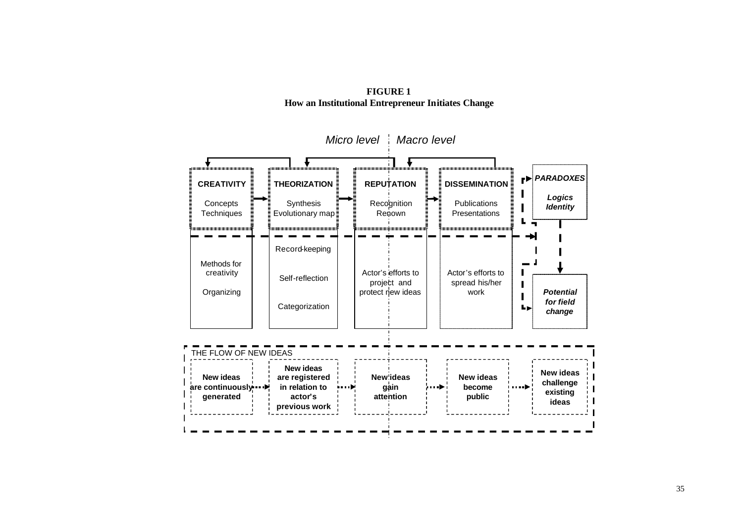*Micro level Macro level*  $\blacklozenge$ *PARADOXES* **CREATIVITY THEORIZATION REPUTATION DISSEMINATION** J *Logics* Ì \*ੂ Concepts Synthesis Recognition Publications *Identity* ı Evolutionary map Renown **Techniques Presentations**  $\mathbf{L}$ ÷  $\rightarrow$ Record-keeping Methods for L  $\blacksquare$ Actor's efforts to Actor's efforts to creativity п Self-reflection spread his/her project and п Organizing work *Potential* protect new ideas  $\blacksquare$ *for field* **Categorization**  $\mathbf{L}$ *change*

**FIGURE 1 How an Institutional Entrepreneur Initiates Change**

| gain<br>attention<br>public<br>qenerated<br>actor's | New ideas<br>are continuously | New ideas<br>are registered<br>in relation to<br>previous work | aa aa bi | New ideas |  | ,…≽ | New ideas<br>become | imm≽ | <b>New ideas</b><br>challenge<br>existing<br>ideas |
|-----------------------------------------------------|-------------------------------|----------------------------------------------------------------|----------|-----------|--|-----|---------------------|------|----------------------------------------------------|
|-----------------------------------------------------|-------------------------------|----------------------------------------------------------------|----------|-----------|--|-----|---------------------|------|----------------------------------------------------|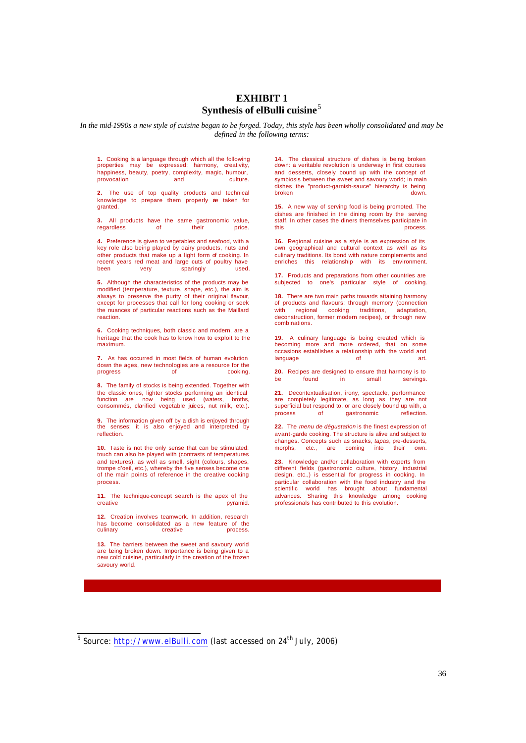### **EXHIBIT 1 Synthesis of elBulli cuisine**<sup>5</sup>

*In the mid-1990s a new style of cuisine began to be forged. Today, this style has been wholly consolidated and may be defined in the following terms:*

**1.** Cooking is a language through which all the following properties may be expressed: harmony, creativity, happiness, beauty, poetry, complexity, magic, humour, provocation and culture.

**2.** The use of top quality products and technical knowledge to prepare them properly æ taken for granted.

**3.** All products have the same gastronomic value, regardless of their price. regardless

**4.** Preference is given to vegetables and seafood, with a key role also being played by dairy products, nuts and other products that make up a light form of cooking. In recent years red meat and large cuts of poultry have been very sparingly used.

**5.** Although the characteristics of the products may be modified (temperature, texture, shape, etc.), the aim is always to preserve the purity of their original flavour, except for processes that call for long cooking or seek the nuances of particular reactions such as the Maillard reaction.

**6.** Cooking techniques, both classic and modern, are a heritage that the cook has to know how to exploit to the maximum.

**7.** As has occurred in most fields of human evolution down the ages, new technologies are a resource for the progress of cooking. progress

**8.** The family of stocks is being extended. Together with the classic ones, lighter stocks performing an identical function are now being used (waters, broths, consommés, clarified vegetable juices, nut milk, etc.).

**9.** The information given off by a dish is enjoyed through the senses; it is also enjoyed and interpreted by reflection.

**10.** Taste is not the only sense that can be stimulated: touch can also be played with (contrasts of temperatures and textures), as well as smell, sight (colours, shapes, trompe d'oeil, etc.), whereby the five senses become one of the main points of reference in the creative cooking process.

**11.** The technique-concept search is the apex of the creative pyramid.

**12.** Creation involves teamwork. In addition, research has become consolidated as a new feature of the culinary creative process.

**13.** The barriers between the sweet and savoury world are being broken down. Importance is being given to a new cold cuisine, particularly in the creation of the frozen savoury world.

**14.** The classical structure of dishes is being broken down: a veritable revolution is underway in first courses and desserts, closely bound up with the concept of symbiosis between the sweet and savoury world; in main dishes the "product-garnish-sauce" hierarchy is being broken down. The contract of the contract of the contract of the contract of the contract of the contract of the contract of the contract of the contract of the contract of the contract of the contract of the contract of t

**15.** A new way of serving food is being promoted. The dishes are finished in the dining room by the serving staff. In other cases the diners themselves participate in this process.

**16.** Regional cuisine as a style is an expression of its own geographical and cultural context as well as its culinary traditions. Its bond with nature complements and enriches this relationship with its environment.

**17.** Products and preparations from other countries are subjected to one's particular style of cooking.

**18.** There are two main paths towards attaining harmony of products and flavours: through memory (connection with regional cooking traditions, adaptation, deconstruction, former modern recipes), or through new combinations.

**19.** A culinary language is being created which is becoming more and more ordered, that on some occasions establishes a relationship with the world and language of art.

**20.** Recipes are designed to ensure that harmony is to be found in small servings.

**21.** Decontextualisation, irony, spectacle, performance are completely legitimate, as long as they are not superficial but respond to, or are closely bound up with, a process of gastronomic reflection.

**22.** The *menu de dégustation* is the finest expression of avant-garde cooking. The structure is alive and subject to changes. Concepts such as snacks, *tapas*, pre-desserts, are coming into

**23.** Knowledge and/or collaboration with experts from different fields (gastronomic culture, history, industrial design, etc.,) is essential for progress in cooking. In particular collaboration with the food industry and the scientific world has brought about fundamental advances. Sharing this knowledge among cooking professionals has contributed to this evolution.

<sup>&</sup>lt;sup>5</sup> Source: http://www.elBulli.com (last accessed on 24<sup>th</sup> July, 2006)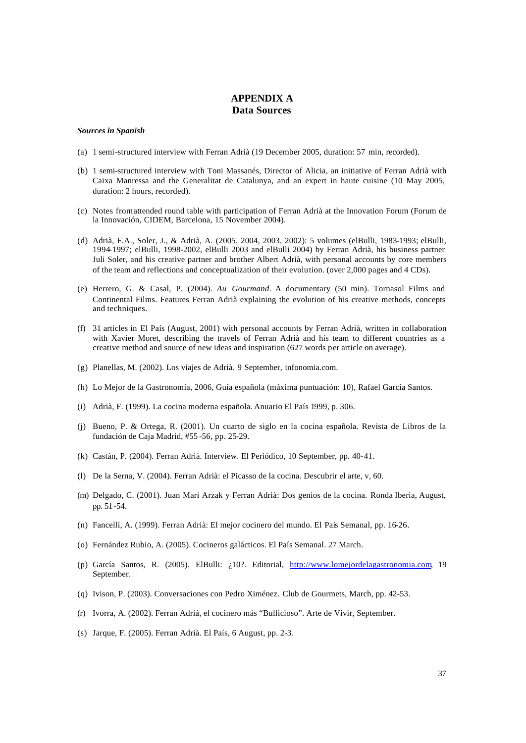### **APPENDIX A Data Sources**

#### *Sources in Spanish*

- (a) 1 semi-structured interview with Ferran Adrià (19 December 2005, duration: 57 min, recorded).
- (b) 1 semi-structured interview with Toni Massanés, Director of Alicia, an initiative of Ferran Adrià with Caixa Manressa and the Generalitat de Catalunya, and an expert in haute cuisine (10 May 2005, duration: 2 hours, recorded).
- (c) Notes from attended round table with participation of Ferran Adrià at the Innovation Forum (Forum de la Innovación, CIDEM, Barcelona, 15 November 2004).
- (d) Adrià, F.A., Soler, J., & Adrià, A. (2005, 2004, 2003, 2002): 5 volumes (elBulli, 1983-1993; elBulli, 1994-1997; elBulli, 1998-2002, elBulli 2003 and elBulli 2004) by Ferran Adrià, his business partner Juli Soler, and his creative partner and brother Albert Adrià, with personal accounts by core members of the team and reflections and conceptualization of their evolution. (over 2,000 pages and 4 CDs).
- (e) Herrero, G. & Casal, P. (2004). *Au Gourmand*. A documentary (50 min). Tornasol Films and Continental Films. Features Ferran Adrià explaining the evolution of his creative methods, concepts and techniques.
- (f) 31 articles in El País (August, 2001) with personal accounts by Ferran Adrià, written in collaboration with Xavier Moret, describing the travels of Ferran Adrià and his team to different countries as a creative method and source of new ideas and inspiration (627 words per article on average).
- (g) Planellas, M. (2002). Los viajes de Adrià. 9 September, infonomia.com.
- (h) Lo Mejor de la Gastronomía, 2006, Guía española (máxima puntuación: 10), Rafael García Santos.
- (i) Adrià, F. (1999). La cocina moderna española. Anuario El País 1999, p. 306.
- (j) Bueno, P. & Ortega, R. (2001). Un cuarto de siglo en la cocina española. Revista de Libros de la fundación de Caja Madrid, #55 -56, pp. 25-29.
- (k) Castán, P. (2004). Ferran Adrià. Interview. El Periódico, 10 September, pp. 40-41.
- (l) De la Serna, V. (2004). Ferran Adrià: el Picasso de la cocina. Descubrir el arte, v, 60.
- (m) Delgado, C. (2001). Juan Mari Arzak y Ferran Adrià: Dos genios de la cocina. Ronda Iberia, August, pp. 51 -54.
- (n) Fancelli, A. (1999). Ferran Adrià: El mejor cocinero del mundo. El País Semanal, pp. 16-26.
- (o) Fernández Rubio, A. (2005). Cocineros galácticos. El País Semanal. 27 March.
- (p) García Santos, R. (2005). ElBulli: ¿10?. Editorial, http://www.lomejordelagastronomia.com, 19 September.
- (q) Ivison, P. (2003). Conversaciones con Pedro Ximénez. Club de Gourmets, March, pp. 42-53.
- (r) Ivorra, A. (2002). Ferran Adriá, el cocinero más "Bullicioso". Arte de Vivir, September.
- (s) Jarque, F. (2005). Ferran Adrià. El País, 6 August, pp. 2-3.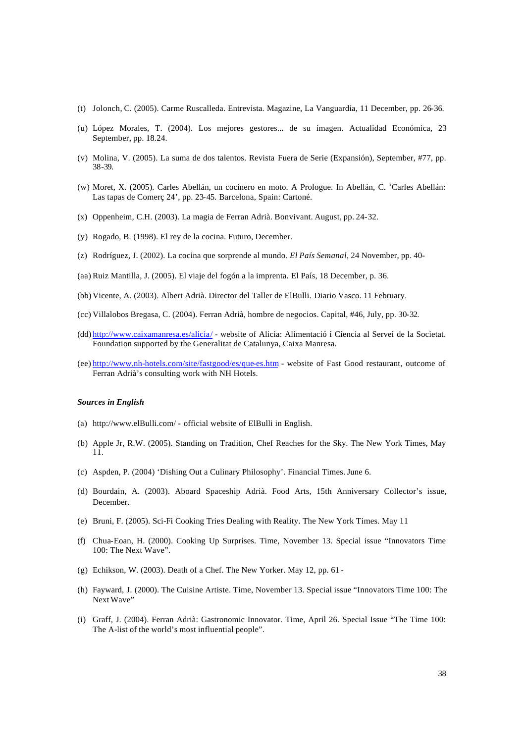- (t) Jolonch, C. (2005). Carme Ruscalleda. Entrevista. Magazine, La Vanguardia, 11 December, pp. 26-36.
- (u) López Morales, T. (2004). Los mejores gestores... de su imagen. Actualidad Económica, 23 September, pp. 18.24.
- (v) Molina, V. (2005). La suma de dos talentos. Revista Fuera de Serie (Expansión), September, #77, pp. 38-39.
- (w) Moret, X. (2005). Carles Abellán, un cocinero en moto. A Prologue. In Abellán, C. 'Carles Abellán: Las tapas de Comerç 24', pp. 23-45. Barcelona, Spain: Cartoné.
- (x) Oppenheim, C.H. (2003). La magia de Ferran Adrià. Bonvivant. August, pp. 24-32.
- (y) Rogado, B. (1998). El rey de la cocina. Futuro, December.
- (z) Rodríguez, J. (2002). La cocina que sorprende al mundo. *El País Semanal*, 24 November, pp. 40-
- (aa) Ruiz Mantilla, J. (2005). El viaje del fogón a la imprenta. El País, 18 December, p. 36.
- (bb) Vicente, A. (2003). Albert Adrià. Director del Taller de ElBulli. Diario Vasco. 11 February.
- (cc) Villalobos Bregasa, C. (2004). Ferran Adrià, hombre de negocios. Capital, #46, July, pp. 30-32.
- (dd) http://www.caixamanresa.es/alicia/ website of Alicia: Alimentació i Ciencia al Servei de la Societat. Foundation supported by the Generalitat de Catalunya, Caixa Manresa.
- (ee) http://www.nh-hotels.com/site/fastgood/es/que-es.htm website of Fast Good restaurant, outcome of Ferran Adrià's consulting work with NH Hotels.

#### *Sources in English*

- (a) http://www.elBulli.com/ official website of ElBulli in English.
- (b) Apple Jr, R.W. (2005). Standing on Tradition, Chef Reaches for the Sky. The New York Times, May 11.
- (c) Aspden, P. (2004) 'Dishing Out a Culinary Philosophy'. Financial Times. June 6.
- (d) Bourdain, A. (2003). Aboard Spaceship Adrià. Food Arts, 15th Anniversary Collector's issue, December.
- (e) Bruni, F. (2005). Sci-Fi Cooking Tries Dealing with Reality. The New York Times. May 11
- (f) Chua-Eoan, H. (2000). Cooking Up Surprises. Time, November 13. Special issue "Innovators Time 100: The Next Wave".
- (g) Echikson, W. (2003). Death of a Chef. The New Yorker. May 12, pp. 61 -
- (h) Fayward, J. (2000). The Cuisine Artiste. Time, November 13. Special issue "Innovators Time 100: The Next Wave"
- (i) Graff, J. (2004). Ferran Adrià: Gastronomic Innovator. Time, April 26. Special Issue "The Time 100: The A-list of the world's most influential people".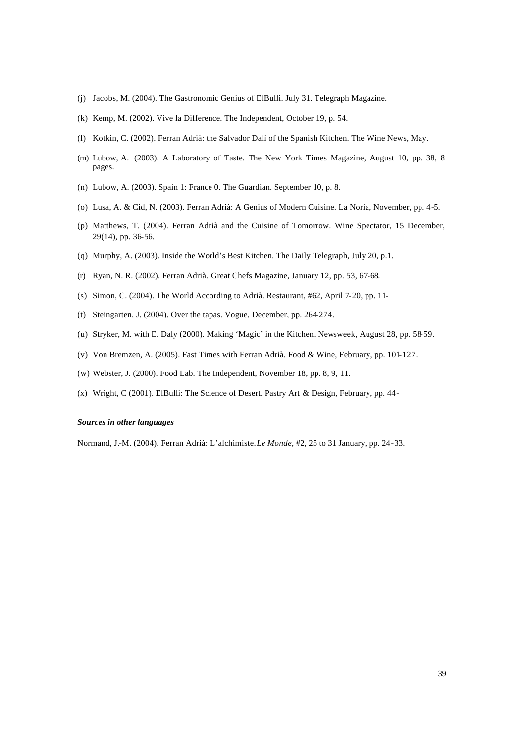- (j) Jacobs, M. (2004). The Gastronomic Genius of ElBulli. July 31. Telegraph Magazine.
- (k) Kemp, M. (2002). Vive la Difference. The Independent, October 19, p. 54.
- (l) Kotkin, C. (2002). Ferran Adrià: the Salvador Dalí of the Spanish Kitchen. The Wine News, May.
- (m) Lubow, A. (2003). A Laboratory of Taste. The New York Times Magazine, August 10, pp. 38, 8 pages.
- (n) Lubow, A. (2003). Spain 1: France 0. The Guardian. September 10, p. 8.
- (o) Lusa, A. & Cid, N. (2003). Ferran Adrià: A Genius of Modern Cuisine. La Noria, November, pp. 4-5.
- (p) Matthews, T. (2004). Ferran Adrià and the Cuisine of Tomorrow. Wine Spectator, 15 December, 29(14), pp. 36-56.
- (q) Murphy, A. (2003). Inside the World's Best Kitchen. The Daily Telegraph, July 20, p.1.
- (r) Ryan, N. R. (2002). Ferran Adrià. Great Chefs Magazine, January 12, pp. 53, 67-68.
- (s) Simon, C. (2004). The World According to Adrià. Restaurant, #62, April 7-20, pp. 11-
- (t) Steingarten, J. (2004). Over the tapas. Vogue, December, pp. 264-274.
- (u) Stryker, M. with E. Daly (2000). Making 'Magic' in the Kitchen. Newsweek, August 28, pp. 58-59.
- (v) Von Bremzen, A. (2005). Fast Times with Ferran Adrià. Food & Wine, February, pp. 101-127.
- (w) Webster, J. (2000). Food Lab. The Independent, November 18, pp. 8, 9, 11.
- (x) Wright, C (2001). ElBulli: The Science of Desert. Pastry Art & Design, February, pp. 44-

#### *Sources in other languages*

Normand, J.-M. (2004). Ferran Adrià: L'alchimiste. *Le Monde*, #2, 25 to 31 January, pp. 24-33.